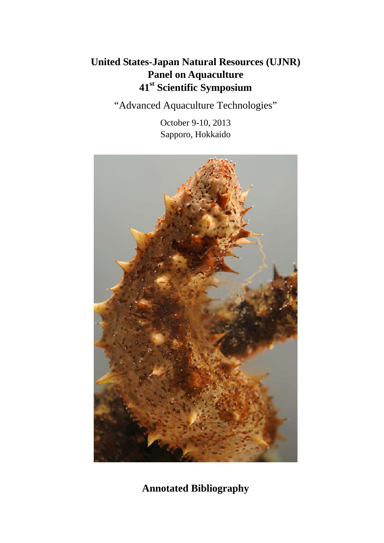# **United States-Japan Natural Resources (UJNR) Panel on Aquaculture 41st Scientific Symposium**

"Advanced Aquaculture Technologies"

October 9-10, 2013 Sapporo, Hokkaido



**Annotated Bibliography**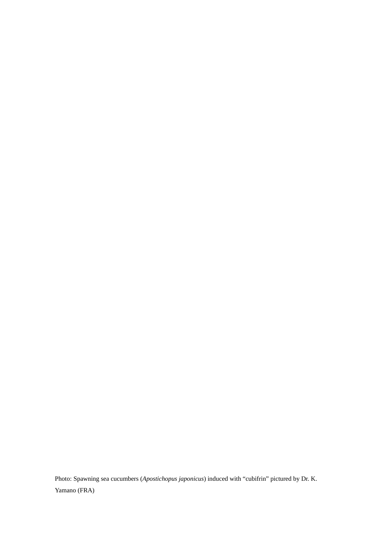Photo: Spawning sea cucumbers (*Apostichopus japonicus*) induced with "cubifrin" pictured by Dr. K. Yamano (FRA)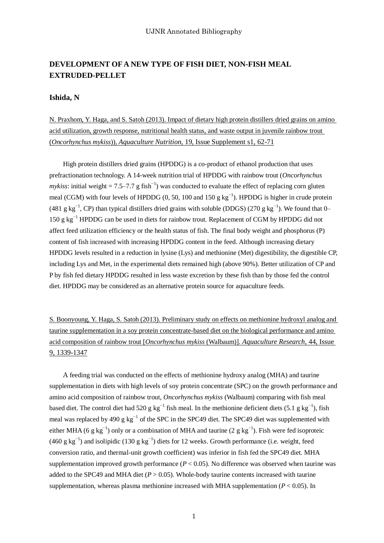# **DEVELOPMENT OF A NEW TYPE OF FISH DIET, NON-FISH MEAL EXTRUDED-PELLET**

#### **Ishida, N**

N. Praxhom, Y. Haga, and S. Satoh (2013). Impact of dietary high protein distillers dried grains on amino acid utilization, growth response, nutritional health status, and waste output in juvenile rainbow trout (*Oncorhynchus mykiss*)), *Aquaculture Nutrition*, 19, Issue Supplement s1, 62-71

High protein distillers dried grains (HPDDG) is a co-product of ethanol production that uses prefractionation technology. A 14-week nutrition trial of HPDDG with rainbow trout (*Oncorhynchus mykiss*: initial weight = 7.5–7.7 g fish<sup>-1</sup>) was conducted to evaluate the effect of replacing corn gluten meal (CGM) with four levels of HPDDG (0, 50, 100 and 150  $g kg^{-1}$ ). HPDDG is higher in crude protein (481 g kg<sup>-1</sup>, CP) than typical distillers dried grains with soluble (DDGS) (270 g kg<sup>-1</sup>). We found that 0– 150 g kg−1 HPDDG can be used in diets for rainbow trout. Replacement of CGM by HPDDG did not affect feed utilization efficiency or the health status of fish. The final body weight and phosphorus (P) content of fish increased with increasing HPDDG content in the feed. Although increasing dietary HPDDG levels resulted in a reduction in lysine (Lys) and methionine (Met) digestibility, the digestible CP, including Lys and Met, in the experimental diets remained high (above 90%). Better utilization of CP and P by fish fed dietary HPDDG resulted in less waste excretion by these fish than by those fed the control diet. HPDDG may be considered as an alternative protein source for aquaculture feeds.

S. Boonyoung, Y. Haga, S. Satoh (2013). Preliminary study on effects on methionine hydroxyl analog and taurine supplementation in a soy protein concentrate-based diet on the biological performance and amino acid composition of rainbow trout [*Oncorhynchus mykiss* (Walbaum)]. *Aquaculture Research*, 44, Issue 9, 1339-1347

A feeding trial was conducted on the effects of methionine hydroxy analog (MHA) and taurine supplementation in diets with high levels of soy protein concentrate (SPC) on the growth performance and amino acid composition of rainbow trout, *Oncorhynchus mykiss* (Walbaum) comparing with fish meal based diet. The control diet had 520 g kg<sup>-1</sup> fish meal. In the methionine deficient diets (5.1 g kg<sup>-1</sup>), fish meal was replaced by 490 g  $kg^{-1}$  of the SPC in the SPC49 diet. The SPC49 diet was supplemented with either MHA (6 g kg<sup>-1</sup>) only or a combination of MHA and taurine (2 g kg<sup>-1</sup>). Fish were fed isoproteic (460 g kg<sup>-1</sup>) and isolipidic (130 g kg<sup>-1</sup>) diets for 12 weeks. Growth performance (i.e. weight, feed conversion ratio, and thermal-unit growth coefficient) was inferior in fish fed the SPC49 diet. MHA supplementation improved growth performance  $(P < 0.05)$ . No difference was observed when taurine was added to the SPC49 and MHA diet  $(P > 0.05)$ . Whole-body taurine contents increased with taurine supplementation, whereas plasma methionine increased with MHA supplementation  $(P < 0.05)$ . In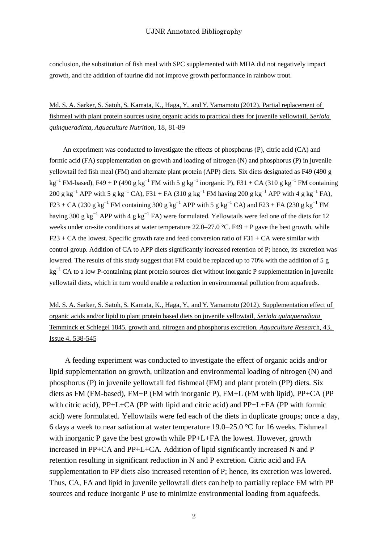conclusion, the substitution of fish meal with SPC supplemented with MHA did not negatively impact growth, and the addition of taurine did not improve growth performance in rainbow trout.

# Md. S. A. Sarker, S. Satoh, S. Kamata, K., Haga, Y., and Y. Yamamoto (2012). Partial replacement of fishmeal with plant protein sources using organic acids to practical diets for juvenile yellowtail, *Seriola quinqueradiata*, *Aquaculture Nutrition*, 18, 81-89

An experiment was conducted to investigate the effects of phosphorus (P), citric acid (CA) and formic acid (FA) supplementation on growth and loading of nitrogen (N) and phosphorus (P) in juvenile yellowtail fed fish meal (FM) and alternate plant protein (APP) diets. Six diets designated as F49 (490 g  $kg^{-1}$  FM-based), F49 + P (490 g kg<sup>-1</sup> FM with 5 g kg<sup>-1</sup> inorganic P), F31 + CA (310 g kg<sup>-1</sup> FM containing 200 g kg<sup>-1</sup> APP with 5 g kg<sup>-1</sup> CA), F31 + FA (310 g kg<sup>-1</sup> FM having 200 g kg<sup>-1</sup> APP with 4 g kg<sup>-1</sup> FA), F23 + CA (230 g kg<sup>-1</sup> FM containing 300 g kg<sup>-1</sup> APP with 5 g kg<sup>-1</sup> CA) and F23 + FA (230 g kg<sup>-1</sup> FM having 300 g kg<sup>-1</sup> APP with 4 g kg<sup>-1</sup> FA) were formulated. Yellowtails were fed one of the diets for 12 weeks under on-site conditions at water temperature  $22.0-27.0$  °C. F49 + P gave the best growth, while  $F23 + CA$  the lowest. Specific growth rate and feed conversion ratio of  $F31 + CA$  were similar with control group. Addition of CA to APP diets significantly increased retention of P; hence, its excretion was lowered. The results of this study suggest that FM could be replaced up to 70% with the addition of 5 g kg<sup>-1</sup> CA to a low P-containing plant protein sources diet without inorganic P supplementation in juvenile yellowtail diets, which in turn would enable a reduction in environmental pollution from aquafeeds.

Md. S. A. Sarker, S. Satoh, S. Kamata, K., Haga, Y., and Y. Yamamoto (2012). Supplementation effect of organic acids and/or lipid to plant protein based diets on juvenile yellowtail, *Seriola quinqueradiata* Temminck et Schlegel 1845, growth and, nitrogen and phosphorus excretion, *Aquaculture Researc*h, 43, Issue 4, 538-545

A feeding experiment was conducted to investigate the effect of organic acids and/or lipid supplementation on growth, utilization and environmental loading of nitrogen (N) and phosphorus (P) in juvenile yellowtail fed fishmeal (FM) and plant protein (PP) diets. Six diets as FM (FM-based), FM+P (FM with inorganic P), FM+L (FM with lipid), PP+CA (PP with citric acid), PP+L+CA (PP with lipid and citric acid) and PP+L+FA (PP with formic acid) were formulated. Yellowtails were fed each of the diets in duplicate groups; once a day, 6 days a week to near satiation at water temperature  $19.0-25.0$  °C for 16 weeks. Fishmeal with inorganic P gave the best growth while PP+L+FA the lowest. However, growth increased in PP+CA and PP+L+CA. Addition of lipid significantly increased N and P retention resulting in significant reduction in N and P excretion. Citric acid and FA supplementation to PP diets also increased retention of P; hence, its excretion was lowered. Thus, CA, FA and lipid in juvenile yellowtail diets can help to partially replace FM with PP sources and reduce inorganic P use to minimize environmental loading from aquafeeds.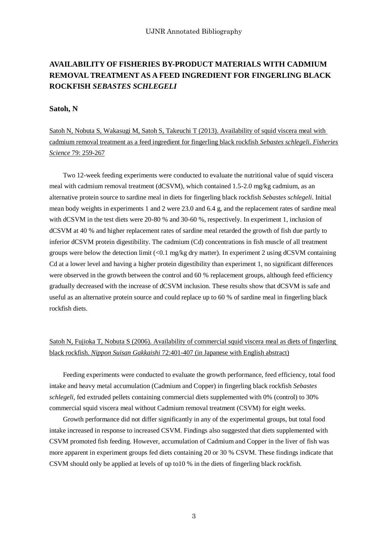# **AVAILABILITY OF FISHERIES BY-PRODUCT MATERIALS WITH CADMIUM REMOVAL TREATMENT AS A FEED INGREDIENT FOR FINGERLING BLACK ROCKFISH** *SEBASTES SCHLEGELI*

### **Satoh, N**

Satoh N, Nobuta S, Wakasugi M, Satoh S, Takeuchi T (2013). Availability of squid viscera meal with cadmium removal treatment as a feed ingredient for fingerling black rockfish *Sebastes schlegeli*. *Fisheries Science* 79: 259-267

Two 12-week feeding experiments were conducted to evaluate the nutritional value of squid viscera meal with cadmium removal treatment (dCSVM), which contained 1.5-2.0 mg/kg cadmium, as an alternative protein source to sardine meal in diets for fingerling black rockfish *Sebastes schlegeli*. Initial mean body weights in experiments 1 and 2 were 23.0 and 6.4 g, and the replacement rates of sardine meal with dCSVM in the test diets were 20-80 % and 30-60 %, respectively. In experiment 1, inclusion of dCSVM at 40 % and higher replacement rates of sardine meal retarded the growth of fish due partly to inferior dCSVM protein digestibility. The cadmium (Cd) concentrations in fish muscle of all treatment groups were below the detection limit  $\langle 0.1 \text{ mg/kg} \text{ dry matter} \rangle$ . In experiment 2 using dCSVM containing Cd at a lower level and having a higher protein digestibility than experiment 1, no significant differences were observed in the growth between the control and 60 % replacement groups, although feed efficiency gradually decreased with the increase of dCSVM inclusion. These results show that dCSVM is safe and useful as an alternative protein source and could replace up to 60 % of sardine meal in fingerling black rockfish diets.

### Satoh N, Fujioka T, Nobuta S (2006). Availability of commercial squid viscera meal as diets of fingerling black rockfish. *Nippon Suisan Gakkaishi* 72:401-407 (in Japanese with English abstract)

Feeding experiments were conducted to evaluate the growth performance, feed efficiency, total food intake and heavy metal accumulation (Cadmium and Copper) in fingerling black rockfish *Sebastes schlegeli,* fed extruded pellets containing commercial diets supplemented with 0% (control) to 30% commercial squid viscera meal without Cadmium removal treatment (CSVM) for eight weeks.

Growth performance did not differ significantly in any of the experimental groups, but total food intake increased in response to increased CSVM. Findings also suggested that diets supplemented with CSVM promoted fish feeding. However, accumulation of Cadmium and Copper in the liver of fish was more apparent in experiment groups fed diets containing 20 or 30 % CSVM. These findings indicate that CSVM should only be applied at levels of up to10 % in the diets of fingerling black rockfish.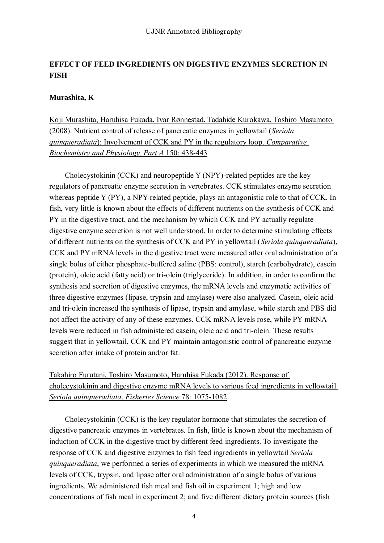# **EFFECT OF FEED INGREDIENTS ON DIGESTIVE ENZYMES SECRETION IN FISH**

### **Murashita, K**

Koji Murashita, Haruhisa Fukada, Ivar Rønnestad, Tadahide Kurokawa, Toshiro Masumoto (2008). Nutrient control of release of pancreatic enzymes in yellowtail (*Seriola quinqueradiata*): Involvement of CCK and PY in the regulatory loop. *Comparative Biochemistry and Physiology, Part A* 150: 438-443

Cholecystokinin (CCK) and neuropeptide Y (NPY)-related peptides are the key regulators of pancreatic enzyme secretion in vertebrates. CCK stimulates enzyme secretion whereas peptide Y (PY), a NPY-related peptide, plays an antagonistic role to that of CCK. In fish, very little is known about the effects of different nutrients on the synthesis of CCK and PY in the digestive tract, and the mechanism by which CCK and PY actually regulate digestive enzyme secretion is not well understood. In order to determine stimulating effects of different nutrients on the synthesis of CCK and PY in yellowtail (*Seriola quinqueradiata*), CCK and PY mRNA levels in the digestive tract were measured after oral administration of a single bolus of either phosphate-buffered saline (PBS: control), starch (carbohydrate), casein (protein), oleic acid (fatty acid) or tri-olein (triglyceride). In addition, in order to confirm the synthesis and secretion of digestive enzymes, the mRNA levels and enzymatic activities of three digestive enzymes (lipase, trypsin and amylase) were also analyzed. Casein, oleic acid and tri-olein increased the synthesis of lipase, trypsin and amylase, while starch and PBS did not affect the activity of any of these enzymes. CCK mRNA levels rose, while PY mRNA levels were reduced in fish administered casein, oleic acid and tri-olein. These results suggest that in yellowtail, CCK and PY maintain antagonistic control of pancreatic enzyme secretion after intake of protein and/or fat.

Takahiro Furutani, Toshiro Masumoto, Haruhisa Fukada (2012). Response of cholecystokinin and digestive enzyme mRNA levels to various feed ingredients in yellowtail *Seriola quinqueradiata*. *Fisheries Science* 78: 1075-1082

Cholecystokinin (CCK) is the key regulator hormone that stimulates the secretion of digestive pancreatic enzymes in vertebrates. In fish, little is known about the mechanism of induction of CCK in the digestive tract by different feed ingredients. To investigate the response of CCK and digestive enzymes to fish feed ingredients in yellowtail *Seriola quinqueradiata*, we performed a series of experiments in which we measured the mRNA levels of CCK, trypsin, and lipase after oral administration of a single bolus of various ingredients. We administered fish meal and fish oil in experiment 1; high and low concentrations of fish meal in experiment 2; and five different dietary protein sources (fish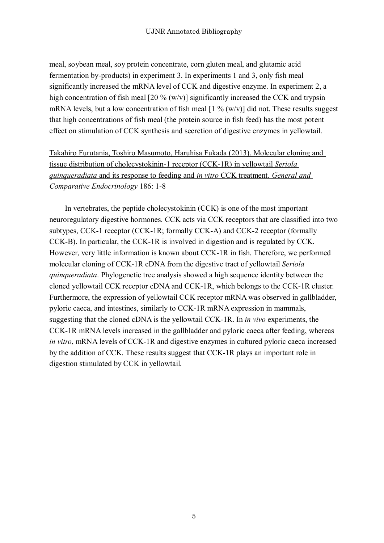meal, soybean meal, soy protein concentrate, corn gluten meal, and glutamic acid fermentation by-products) in experiment 3. In experiments 1 and 3, only fish meal significantly increased the mRNA level of CCK and digestive enzyme. In experiment 2, a high concentration of fish meal  $[20\% (w/v)]$  significantly increased the CCK and trypsin mRNA levels, but a low concentration of fish meal  $[1 \% (w/v)]$  did not. These results suggest that high concentrations of fish meal (the protein source in fish feed) has the most potent effect on stimulation of CCK synthesis and secretion of digestive enzymes in yellowtail.

Takahiro Furutania, Toshiro Masumoto, Haruhisa Fukada (2013). Molecular cloning and tissue distribution of cholecystokinin-1 receptor (CCK-1R) in yellowtail *Seriola quinqueradiata* and its response to feeding and *in vitro* CCK treatment. *General and Comparative Endocrinology* 186: 1-8

In vertebrates, the peptide cholecystokinin (CCK) is one of the most important neuroregulatory digestive hormones. CCK acts via CCK receptors that are classified into two subtypes, CCK-1 receptor (CCK-1R; formally CCK-A) and CCK-2 receptor (formally CCK-B). In particular, the CCK-1R is involved in digestion and is regulated by CCK. However, very little information is known about CCK-1R in fish. Therefore, we performed molecular cloning of CCK-1R cDNA from the digestive tract of yellowtail *Seriola quinqueradiata*. Phylogenetic tree analysis showed a high sequence identity between the cloned yellowtail CCK receptor cDNA and CCK-1R, which belongs to the CCK-1R cluster. Furthermore, the expression of yellowtail CCK receptor mRNA was observed in gallbladder, pyloric caeca, and intestines, similarly to CCK-1R mRNA expression in mammals, suggesting that the cloned cDNA is the yellowtail CCK-1R. In *in vivo* experiments, the CCK-1R mRNA levels increased in the gallbladder and pyloric caeca after feeding, whereas *in vitro*, mRNA levels of CCK-1R and digestive enzymes in cultured pyloric caeca increased by the addition of CCK. These results suggest that CCK-1R plays an important role in digestion stimulated by CCK in yellowtail.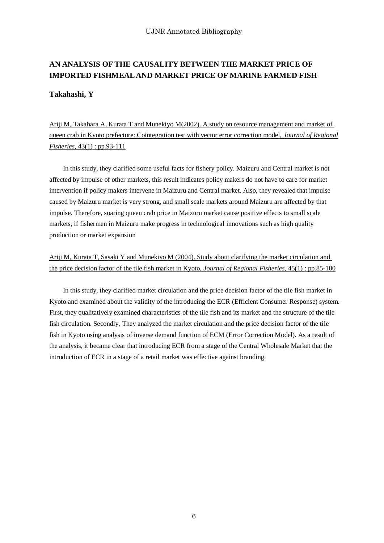# **AN ANALYSIS OF THE CAUSALITY BETWEEN THE MARKET PRICE OF IMPORTED FISHMEAL AND MARKET PRICE OF MARINE FARMED FISH**

### **Takahashi, Y**

Ariji M, Takahara A, Kurata T and Munekiyo M(2002). A study on resource management and market of queen crab in Kyoto prefecture: Cointegration test with vector error correction model, *Journal of Regional Fisheries*, 43(1) : pp.93-111

In this study, they clarified some useful facts for fishery policy. Maizuru and Central market is not affected by impulse of other markets, this result indicates policy makers do not have to care for market intervention if policy makers intervene in Maizuru and Central market. Also, they revealed that impulse caused by Maizuru market is very strong, and small scale markets around Maizuru are affected by that impulse. Therefore, soaring queen crab price in Maizuru market cause positive effects to small scale markets, if fishermen in Maizuru make progress in technological innovations such as high quality production or market expansion

Ariji M, Kurata T, Sasaki Y and Munekiyo M (2004). Study about clarifying the market circulation and the price decision factor of the tile fish market in Kyoto, *Journal of Regional Fisheries*, 45(1) : pp.85-100

In this study, they clarified market circulation and the price decision factor of the tile fish market in Kyoto and examined about the validity of the introducing the ECR (Efficient Consumer Response) system. First, they qualitatively examined characteristics of the tile fish and its market and the structure of the tile fish circulation. Secondly, They analyzed the market circulation and the price decision factor of the tile fish in Kyoto using analysis of inverse demand function of ECM (Error Correction Model). As a result of the analysis, it became clear that introducing ECR from a stage of the Central Wholesale Market that the introduction of ECR in a stage of a retail market was effective against branding.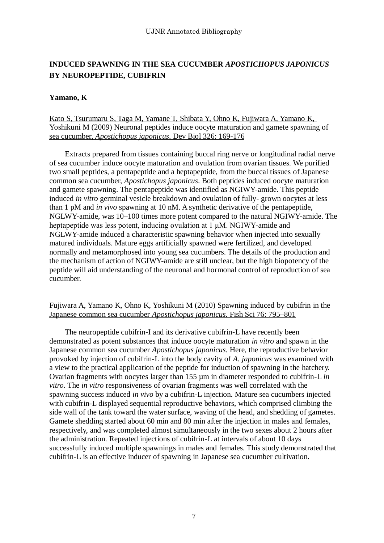# **INDUCED SPAWNING IN THE SEA CUCUMBER** *APOSTICHOPUS JAPONICUS* **BY NEUROPEPTIDE, CUBIFRIN**

### **Yamano, K**

### Kato S, Tsurumaru S, Taga M, Yamane T, Shibata Y, Ohno K, Fujiwara A, Yamano K, Yoshikuni M (2009) Neuronal peptides induce oocyte maturation and gamete spawning of sea cucumber, *Apostichopus japonicus*. Dev Biol 326: 169-176

Extracts prepared from tissues containing buccal ring nerve or longitudinal radial nerve of sea cucumber induce oocyte maturation and ovulation from ovarian tissues. We purified two small peptides, a pentapeptide and a heptapeptide, from the buccal tissues of Japanese common sea cucumber, *Apostichopus japonicus*. Both peptides induced oocyte maturation and gamete spawning. The pentapeptide was identified as NGIWY-amide. This peptide induced *in vitro* germinal vesicle breakdown and ovulation of fully- grown oocytes at less than 1 pM and *in vivo* spawning at 10 nM. A synthetic derivative of the pentapeptide, NGLWY-amide, was 10–100 times more potent compared to the natural NGIWY-amide. The heptapeptide was less potent, inducing ovulation at 1 μM. NGIWY-amide and NGLWY-amide induced a characteristic spawning behavior when injected into sexually matured individuals. Mature eggs artificially spawned were fertilized, and developed normally and metamorphosed into young sea cucumbers. The details of the production and the mechanism of action of NGIWY-amide are still unclear, but the high biopotency of the peptide will aid understanding of the neuronal and hormonal control of reproduction of sea cucumber.

### Fujiwara A, Yamano K, Ohno K, Yoshikuni M (2010) Spawning induced by cubifrin in the Japanese common sea cucumber *Apostichopus japonicus*. Fish Sci 76: 795–801

The neuropeptide cubifrin-I and its derivative cubifrin-L have recently been demonstrated as potent substances that induce oocyte maturation *in vitro* and spawn in the Japanese common sea cucumber *Apostichopus japonicus*. Here, the reproductive behavior provoked by injection of cubifrin-L into the body cavity of *A. japonicus* was examined with a view to the practical application of the peptide for induction of spawning in the hatchery. Ovarian fragments with oocytes larger than 155 µm in diameter responded to cubifrin-L *in vitro*. The *in vitro* responsiveness of ovarian fragments was well correlated with the spawning success induced *in vivo* by a cubifrin-L injection. Mature sea cucumbers injected with cubifrin-L displayed sequential reproductive behaviors, which comprised climbing the side wall of the tank toward the water surface, waving of the head, and shedding of gametes. Gamete shedding started about 60 min and 80 min after the injection in males and females, respectively, and was completed almost simultaneously in the two sexes about 2 hours after the administration. Repeated injections of cubifrin-L at intervals of about 10 days successfully induced multiple spawnings in males and females. This study demonstrated that cubifrin-L is an effective inducer of spawning in Japanese sea cucumber cultivation.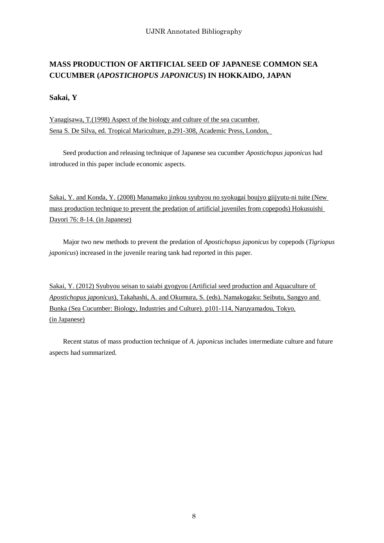# **MASS PRODUCTION OF ARTIFICIAL SEED OF JAPANESE COMMON SEA CUCUMBER (***APOSTICHOPUS JAPONICUS***) IN HOKKAIDO, JAPAN**

### **Sakai, Y**

Yanagisawa, T.(1998) Aspect of the biology and culture of the sea cucumber. Sena S. De Silva, ed. Tropical Mariculture, p.291-308, Academic Press, London,

Seed production and releasing technique of Japanese sea cucumber *Apostichopus japonicus* had introduced in this paper include economic aspects.

Sakai, Y. and Konda, Y. (2008) Manamako jinkou syubyou no syokugai boujyo giijyutu-ni tuite (New mass production technique to prevent the predation of artificial juveniles from copepods) Hokusuishi Dayori 76: 8-14. (in Japanese)

Major two new methods to prevent the predation of *Apostichopus japonicus* by copepods (*Tigriopus japonicus*) increased in the juvenile rearing tank had reported in this paper.

Sakai, Y. (2012) Syubyou seisan to saiabi gyogyou (Artificial seed production and Aquaculture of *Apostichopus japonicus*), Takahashi, A. and Okumura, S. (eds). Namakogaku: Seibutu, Sangyo and Bunka (Sea Cucumber: Biology, Industries and Culture). p101-114, Naruyamadou, Tokyo. (in Japanese)

Recent status of mass production technique of *A. japonicus* includes intermediate culture and future aspects had summarized.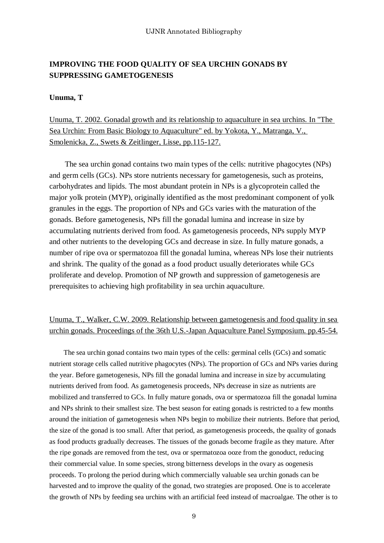### **IMPROVING THE FOOD QUALITY OF SEA URCHIN GONADS BY SUPPRESSING GAMETOGENESIS**

### **Unuma, T**

Unuma, T. 2002. Gonadal growth and its relationship to aquaculture in sea urchins. In "The Sea Urchin: From Basic Biology to Aquaculture" ed. by Yokota, Y., Matranga, V., Smolenicka, Z., Swets & Zeitlinger, Lisse, pp.115-127.

The sea urchin gonad contains two main types of the cells: nutritive phagocytes (NPs) and germ cells (GCs). NPs store nutrients necessary for gametogenesis, such as proteins, carbohydrates and lipids. The most abundant protein in NPs is a glycoprotein called the major yolk protein (MYP), originally identified as the most predominant component of yolk granules in the eggs. The proportion of NPs and GCs varies with the maturation of the gonads. Before gametogenesis, NPs fill the gonadal lumina and increase in size by accumulating nutrients derived from food. As gametogenesis proceeds, NPs supply MYP and other nutrients to the developing GCs and decrease in size. In fully mature gonads, a number of ripe ova or spermatozoa fill the gonadal lumina, whereas NPs lose their nutrients and shrink. The quality of the gonad as a food product usually deteriorates while GCs proliferate and develop. Promotion of NP growth and suppression of gametogenesis are prerequisites to achieving high profitability in sea urchin aquaculture.

## Unuma, T., Walker, C.W. 2009. Relationship between gametogenesis and food quality in sea urchin gonads. Proceedings of the 36th U.S.-Japan Aquaculture Panel Symposium. pp.45-54.

The sea urchin gonad contains two main types of the cells: germinal cells (GCs) and somatic nutrient storage cells called nutritive phagocytes (NPs). The proportion of GCs and NPs varies during the year. Before gametogenesis, NPs fill the gonadal lumina and increase in size by accumulating nutrients derived from food. As gametogenesis proceeds, NPs decrease in size as nutrients are mobilized and transferred to GCs. In fully mature gonads, ova or spermatozoa fill the gonadal lumina and NPs shrink to their smallest size. The best season for eating gonads is restricted to a few months around the initiation of gametogenesis when NPs begin to mobilize their nutrients. Before that period, the size of the gonad is too small. After that period, as gametogenesis proceeds, the quality of gonads as food products gradually decreases. The tissues of the gonads become fragile as they mature. After the ripe gonads are removed from the test, ova or spermatozoa ooze from the gonoduct, reducing their commercial value. In some species, strong bitterness develops in the ovary as oogenesis proceeds. To prolong the period during which commercially valuable sea urchin gonads can be harvested and to improve the quality of the gonad, two strategies are proposed. One is to accelerate the growth of NPs by feeding sea urchins with an artificial feed instead of macroalgae. The other is to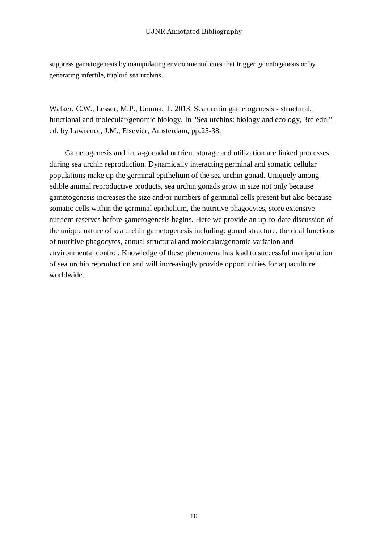suppress gametogenesis by manipulating environmental cues that trigger gametogenesis or by generating infertile, triploid sea urchins.

# Walker, C.W., Lesser, M.P., Unuma, T. 2013. Sea urchin gametogenesis - structural, functional and molecular/genomic biology. In "Sea urchins: biology and ecology, 3rd edn." ed. by Lawrence, J.M., Elsevier, Amsterdam, pp.25-38.

Gametogenesis and intra-gonadal nutrient storage and utilization are linked processes during sea urchin reproduction. Dynamically interacting germinal and somatic cellular populations make up the germinal epithelium of the sea urchin gonad. Uniquely among edible animal reproductive products, sea urchin gonads grow in size not only because gametogenesis increases the size and/or numbers of germinal cells present but also because somatic cells within the germinal epithelium, the nutritive phagocytes, store extensive nutrient reserves before gametogenesis begins. Here we provide an up-to-date discussion of the unique nature of sea urchin gametogenesis including: gonad structure, the dual functions of nutritive phagocytes, annual structural and molecular/genomic variation and environmental control. Knowledge of these phenomena has lead to successful manipulation of sea urchin reproduction and will increasingly provide opportunities for aquaculture worldwide.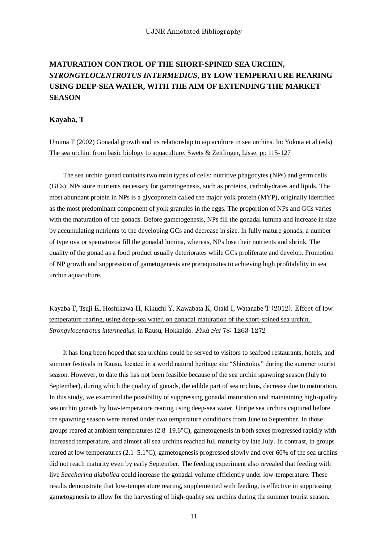# **MATURATION CONTROL OF THE SHORT-SPINED SEA URCHIN,**  *STRONGYLOCENTROTUS INTERMEDIUS***, BY LOW TEMPERATURE REARING USING DEEP-SEA WATER, WITH THE AIM OF EXTENDING THE MARKET SEASON**

### **Kayaba, T**

Unuma T (2002) Gonadal growth and its relationship to aquaculture in sea urchins. In: Yokota et al (eds) The sea urchin: from basic biology to aquaculture. Swets & Zeitlinger, Lisse, pp 115-127

The sea urchin gonad contains two main types of cells: nutritive phagocytes (NPs) and germ cells (GCs). NPs store nutrients necessary for gametogenesis, such as proteins, carbohydrates and lipids. The most abundant protein in NPs is a glycoprotein called the major yolk protein (MYP), originally identified as the most predominant component of yolk granules in the eggs. The proportion of NPs and GCs varies with the maturation of the gonads. Before gametogenesis, NPs fill the gonadal lumina and increase in size by accumulating nutrients to the developing GCs and decrease in size. In fully mature gonads, a number of type ova or spematozoa fill the gonadal lumina, whereas, NPs lose their nutrients and shrink. The quality of the gonad as a food product usually deteriorates while GCs proliferate and develop. Promotion of NP growth and suppression of gametogenesis are prerequisites to achieving high profitability in sea urchin aquaculture.

Kayaba T, Tsuji K, Hoshikawa H, Kikuchi Y, Kawabata K, Otaki I, Watanabe T (2012). Effect of low temperature rearing, using deep-sea water, on gonadal maturation of the short-spined sea urchin, *Strongylocentrotus intermedius*, in Rausu, Hokkaido. Fish Sci 78: 1263-1272

It has long been hoped that sea urchins could be served to visitors to seafood restaurants, hotels, and summer festivals in Rausu, located in a world natural heritage site "Shiretoko," during the summer tourist season. However, to date this has not been feasible because of the sea urchin spawning season (July to September), during which the quality of gonads, the edible part of sea urchins, decrease due to maturation. In this study, we examined the possibility of suppressing gonadal maturation and maintaining high-quality sea urchin gonads by low-temperature rearing using deep-sea water. Unripe sea urchins captured before the spawning season were reared under two temperature conditions from June to September. In those groups reared at ambient temperatures (2.8–19.6°C), gametogenesis in both sexes progressed rapidly with increased temperature, and almost all sea urchins reached full maturity by late July. In contrast, in groups reared at low temperatures (2.1–5.1°C), gametogenesis progressed slowly and over 60% of the sea urchins did not reach maturity even by early September. The feeding experiment also revealed that feeding with live *Saccharina diabolica* could increase the gonadal volume efficiently under low-temperature. These results demonstrate that low-temperature rearing, supplemented with feeding, is effective in suppressing gametogenesis to allow for the harvesting of high-quality sea urchins during the summer tourist season.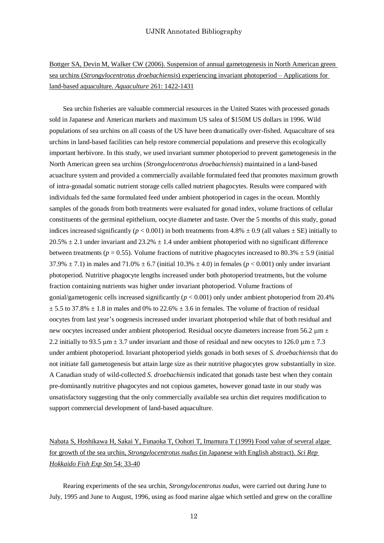Bottger SA, Devin M, Walker CW (2006). Suspension of annual gametogenesis in North American green sea urchins (*Strongylocentrotus droebachiensis*) experiencing invariant photoperiod – Applications for land-based aquaculture. *Aquaculture* 261: 1422-1431

Sea urchin fisheries are valuable commercial resources in the United States with processed gonads sold in Japanese and American markets and maximum US salea of \$150M US dollars in 1996. Wild populations of sea urchins on all coasts of the US have been dramatically over-fished. Aquaculture of sea urchins in land-based facilities can help restore commercial populations and preserve this ecologically important herbivore. In this study, we used invariant summer photoperiod to prevent gametogenesis in the North American green sea urchins (*Strongylocentrotus droebachiensis*) maintained in a land-based acuaclture system and provided a commercially available formulated feed that promotes maximum growth of intra-gonadal somatic nutrient storage cells called nutrient phagocytes. Results were compared with individuals fed the same formulated feed under ambient photoperiod in cages in the ocean. Monthly samples of the gonads from both treatments were evaluated for gonad index, volume fractions of cellular constituents of the germinal epithelium, oocyte diameter and taste. Over the 5 months of this study, gonad indices increased significantly ( $p < 0.001$ ) in both treatments from 4.8%  $\pm$  0.9 (all values  $\pm$  SE) initially to 20.5%  $\pm$  2.1 under invariant and 23.2%  $\pm$  1.4 under ambient photoperiod with no significant difference between treatments ( $p = 0.55$ ). Volume fractions of nutritive phagocytes increased to 80.3%  $\pm$  5.9 (initial 37.9%  $\pm$  7.1) in males and 71.0%  $\pm$  6.7 (initial 10.3%  $\pm$  4.0) in females ( $p < 0.001$ ) only under invariant photoperiod. Nutritive phagocyte lengths increased under both photoperiod treatments, but the volume fraction containing nutrients was higher under invariant photoperiod. Volume fractions of gonial/gametogenic cells increased significantly (*p* < 0.001) only under ambient photoperiod from 20.4%  $\pm$  5.5 to 37.8%  $\pm$  1.8 in males and 0% to 22.6%  $\pm$  3.6 in females. The volume of fraction of residual oocytes from last year's oogenesis increased under invariant photoperiod while that of both residual and new oocytes increased under ambient photoperiod. Residual oocyte diameters increase from 56.2  $\mu$ m ± 2.2 initially to 93.5  $\mu$ m  $\pm$  3.7 under invariant and those of residual and new oocytes to 126.0  $\mu$ m  $\pm$  7.3 under ambient photoperiod. Invariant photoperiod yields gonads in both sexes of *S. droebachiensis* that do not initiate fall gametogenesis but attain large size as their nutritive phagocytes grow substantially in size. A Canadian study of wild-collected *S. droebachiensis* indicated that gonads taste best when they contain pre-dominantly nutritive phagocytes and not copious gametes, however gonad taste in our study was unsatisfactory suggesting that the only commercially available sea urchin diet requires modification to support commercial development of land-based aquaculture.

Nabata S, Hoshikawa H, Sakai Y, Funaoka T, Oohori T, Imamura T (1999) Food value of several algae for growth of the sea urchin, *Strongylocentrotus nudus* (in Japanese with English abstract). *Sci Rep Hokkaido Fish Exp Stn* 54: 33-40

Rearing experiments of the sea urchin, *Strongylocentrotus nudus,* were carried out during June to July, 1995 and June to August, 1996, using as food marine algae which settled and grew on the coralline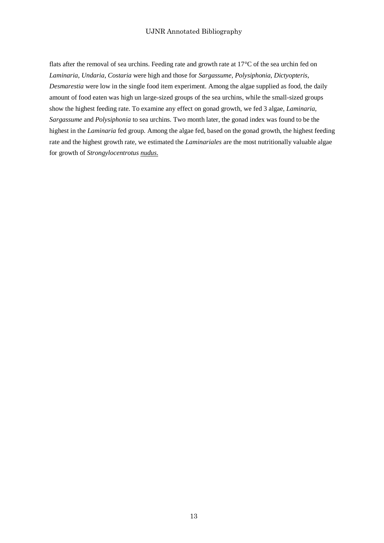### UJNR Annotated Bibliography

flats after the removal of sea urchins. Feeding rate and growth rate at 17°C of the sea urchin fed on *Laminaria*, *Undaria*, *Costaria* were high and those for *Sargassume*, *Polysiphonia*, *Dictyopteris*, *Desmarestia* were low in the single food item experiment. Among the algae supplied as food, the daily amount of food eaten was high un large-sized groups of the sea urchins, while the small-sized groups show the highest feeding rate. To examine any effect on gonad growth, we fed 3 algae, *Laminaria*, *Sargassume* and *Polysiphonia* to sea urchins. Two month later, the gonad index was found to be the highest in the *Laminaria* fed group. Among the algae fed, based on the gonad growth, the highest feeding rate and the highest growth rate, we estimated the *Laminariales* are the most nutritionally valuable algae for growth of *Strongylocentrotus nudus*.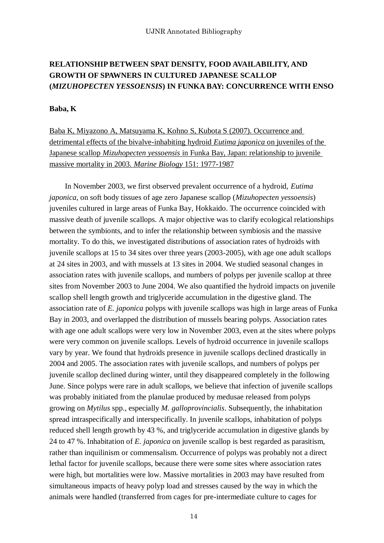# **RELATIONSHIP BETWEEN SPAT DENSITY, FOOD AVAILABILITY, AND GROWTH OF SPAWNERS IN CULTURED JAPANESE SCALLOP (***MIZUHOPECTEN YESSOENSIS***) IN FUNKA BAY: CONCURRENCE WITH ENSO**

### **Baba, K**

Baba K, Miyazono A, Matsuyama K, Kohno S, Kubota S (2007). Occurrence and detrimental effects of the bivalve-inhabiting hydroid *Eutima japonica* on juveniles of the Japanese scallop *Mizuhopecten yessoensis* in Funka Bay, Japan: relationship to juvenile massive mortality in 2003*. Marine Biology* 151: 1977-1987

In November 2003, we first observed prevalent occurrence of a hydroid, *Eutima japonica*, on soft body tissues of age zero Japanese scallop (*Mizuhopecten yessoensis*) juveniles cultured in large areas of Funka Bay, Hokkaido. The occurrence coincided with massive death of juvenile scallops. A major objective was to clarify ecological relationships between the symbionts, and to infer the relationship between symbiosis and the massive mortality. To do this, we investigated distributions of association rates of hydroids with juvenile scallops at 15 to 34 sites over three years (2003-2005), with age one adult scallops at 24 sites in 2003, and with mussels at 13 sites in 2004. We studied seasonal changes in association rates with juvenile scallops, and numbers of polyps per juvenile scallop at three sites from November 2003 to June 2004. We also quantified the hydroid impacts on juvenile scallop shell length growth and triglyceride accumulation in the digestive gland. The association rate of *E. japonica* polyps with juvenile scallops was high in large areas of Funka Bay in 2003, and overlapped the distribution of mussels bearing polyps. Association rates with age one adult scallops were very low in November 2003, even at the sites where polyps were very common on juvenile scallops. Levels of hydroid occurrence in juvenile scallops vary by year. We found that hydroids presence in juvenile scallops declined drastically in 2004 and 2005. The association rates with juvenile scallops, and numbers of polyps per juvenile scallop declined during winter, until they disappeared completely in the following June. Since polyps were rare in adult scallops, we believe that infection of juvenile scallops was probably initiated from the planulae produced by medusae released from polyps growing on *Mytilus* spp., especially *M. galloprovincialis*. Subsequently, the inhabitation spread intraspecifically and interspecifically. In juvenile scallops, inhabitation of polyps reduced shell length growth by 43 %, and triglyceride accumulation in digestive glands by 24 to 47 %. Inhabitation of *E. japonica* on juvenile scallop is best regarded as parasitism, rather than inquilinism or commensalism. Occurrence of polyps was probably not a direct lethal factor for juvenile scallops, because there were some sites where association rates were high, but mortalities were low. Massive mortalities in 2003 may have resulted from simultaneous impacts of heavy polyp load and stresses caused by the way in which the animals were handled (transferred from cages for pre-intermediate culture to cages for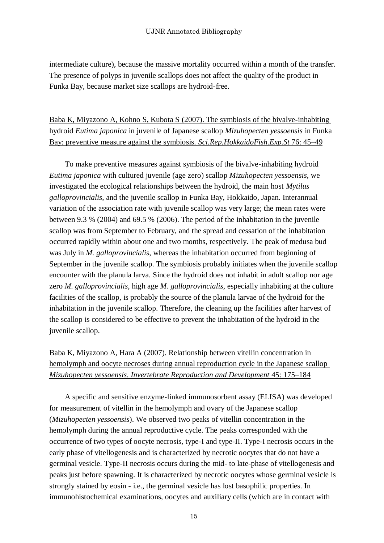intermediate culture), because the massive mortality occurred within a month of the transfer. The presence of polyps in juvenile scallops does not affect the quality of the product in Funka Bay, because market size scallops are hydroid-free.

# Baba K, Miyazono A, Kohno S, Kubota S (2007). The symbiosis of the bivalve-inhabiting hydroid *Eutima japonica* in juvenile of Japanese scallop *Mizuhopecten yessoensis* in Funka Bay: preventive measure against the symbiosis. *Sci.Rep.HokkaidoFish.Exp.St* 76: 45–49

To make preventive measures against symbiosis of the bivalve-inhabiting hydroid *Eutima japonica* with cultured juvenile (age zero) scallop *Mizuhopecten yessoensis*, we investigated the ecological relationships between the hydroid, the main host *Mytilus galloprovincialis*, and the juvenile scallop in Funka Bay, Hokkaido, Japan. Interannual variation of the association rate with juvenile scallop was very large; the mean rates were between 9.3 % (2004) and 69.5 % (2006). The period of the inhabitation in the juvenile scallop was from September to February, and the spread and cessation of the inhabitation occurred rapidly within about one and two months, respectively. The peak of medusa bud was July in *M. galloprovincialis*, whereas the inhabitation occurred from beginning of September in the juvenile scallop. The symbiosis probably initiates when the juvenile scallop encounter with the planula larva. Since the hydroid does not inhabit in adult scallop nor age zero *M. galloprovincialis*, high age *M. galloprovincialis*, especially inhabiting at the culture facilities of the scallop, is probably the source of the planula larvae of the hydroid for the inhabitation in the juvenile scallop. Therefore, the cleaning up the facilities after harvest of the scallop is considered to be effective to prevent the inhabitation of the hydroid in the juvenile scallop.

Baba K, Miyazono A, Hara A (2007). Relationship between vitellin concentration in hemolymph and oocyte necroses during annual reproduction cycle in the Japanese scallop *Mizuhopecten yessoensis*. *Invertebrate Reproduction and Development* 45: 175–184

A specific and sensitive enzyme-linked immunosorbent assay (ELISA) was developed for measurement of vitellin in the hemolymph and ovary of the Japanese scallop (*Mizuhopecten yessoensis*). We observed two peaks of vitellin concentration in the hemolymph during the annual reproductive cycle. The peaks corresponded with the occurrence of two types of oocyte necrosis, type-I and type-II. Type-I necrosis occurs in the early phase of vitellogenesis and is characterized by necrotic oocytes that do not have a germinal vesicle. Type-II necrosis occurs during the mid- to late-phase of vitellogenesis and peaks just before spawning. It is characterized by necrotic oocytes whose germinal vesicle is strongly stained by eosin - i.e., the germinal vesicle has lost basophilic properties. In immunohistochemical examinations, oocytes and auxiliary cells (which are in contact with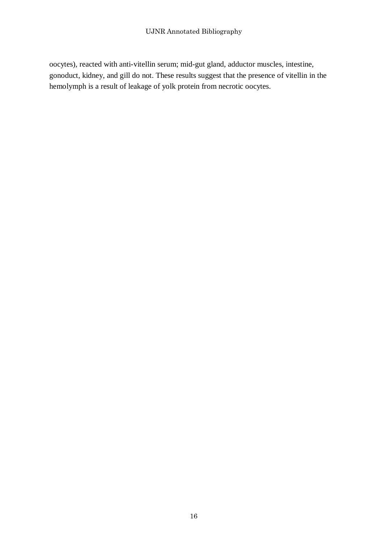oocytes), reacted with anti-vitellin serum; mid-gut gland, adductor muscles, intestine, gonoduct, kidney, and gill do not. These results suggest that the presence of vitellin in the hemolymph is a result of leakage of yolk protein from necrotic oocytes.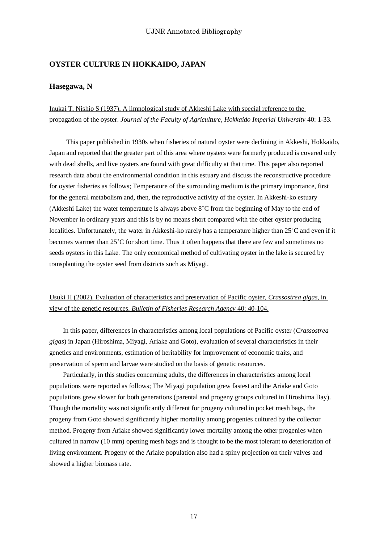### **OYSTER CULTURE IN HOKKAIDO, JAPAN**

#### **Hasegawa, N**

### Inukai T, Nishio S (1937). A limnological study of Akkeshi Lake with special reference to the propagation of the oyster. *Journal of the Faculty of Agriculture, Hokkaido Imperial University* 40: 1-33.

This paper published in 1930s when fisheries of natural oyster were declining in Akkeshi, Hokkaido, Japan and reported that the greater part of this area where oysters were formerly produced is covered only with dead shells, and live oysters are found with great difficulty at that time. This paper also reported research data about the environmental condition in this estuary and discuss the reconstructive procedure for oyster fisheries as follows; Temperature of the surrounding medium is the primary importance, first for the general metabolism and, then, the reproductive activity of the oyster. In Akkeshi-ko estuary (Akkeshi Lake) the water temperature is always above 8˚C from the beginning of May to the end of November in ordinary years and this is by no means short compared with the other oyster producing localities. Unfortunately, the water in Akkeshi-ko rarely has a temperature higher than 25˚C and even if it becomes warmer than 25˚C for short time. Thus it often happens that there are few and sometimes no seeds oysters in this Lake. The only economical method of cultivating oyster in the lake is secured by transplanting the oyster seed from districts such as Miyagi.

### Usuki H (2002). Evaluation of characteristics and preservation of Pacific oyster, *Crassostrea gigas*, in view of the genetic resources. *Bulletin of Fisheries Research Agency* 40: 40-104.

In this paper, differences in characteristics among local populations of Pacific oyster (*Crassostrea gigas*) in Japan (Hiroshima, Miyagi, Ariake and Goto), evaluation of several characteristics in their genetics and environments, estimation of heritability for improvement of economic traits, and preservation of sperm and larvae were studied on the basis of genetic resources.

Particularly, in this studies concerning adults, the differences in characteristics among local populations were reported as follows; The Miyagi population grew fastest and the Ariake and Goto populations grew slower for both generations (parental and progeny groups cultured in Hiroshima Bay). Though the mortality was not significantly different for progeny cultured in pocket mesh bags, the progeny from Goto showed significantly higher mortality among progenies cultured by the collector method. Progeny from Ariake showed significantly lower mortality among the other progenies when cultured in narrow (10 mm) opening mesh bags and is thought to be the most tolerant to deterioration of living environment. Progeny of the Ariake population also had a spiny projection on their valves and showed a higher biomass rate.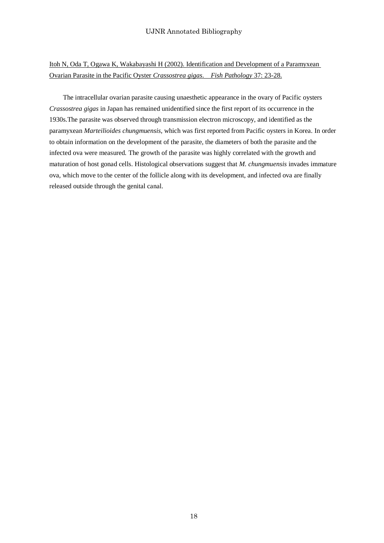Itoh N, Oda T, Ogawa K, Wakabayashi H (2002). Identification and Development of a Paramyxean Ovarian Parasite in the Pacific Oyster *Crassostrea gigas*. *Fish Pathology* 37: 23-28.

The intracellular ovarian parasite causing unaesthetic appearance in the ovary of Pacific oysters *Crassostrea gigas* in Japan has remained unidentified since the first report of its occurrence in the 1930s.The parasite was observed through transmission electron microscopy, and identified as the paramyxean *Marteilioides chungmuensis*, which was first reported from Pacific oysters in Korea. In order to obtain information on the development of the parasite, the diameters of both the parasite and the infected ova were measured. The growth of the parasite was highly correlated with the growth and maturation of host gonad cells. Histological observations suggest that *M. chungmuensis* invades immature ova, which move to the center of the follicle along with its development, and infected ova are finally released outside through the genital canal.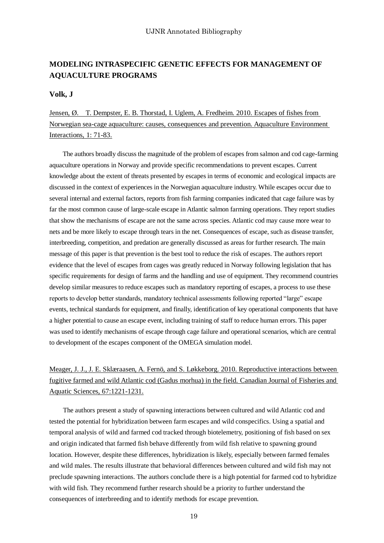# **MODELING INTRASPECIFIC GENETIC EFFECTS FOR MANAGEMENT OF AQUACULTURE PROGRAMS**

### **Volk, J**

Jensen, Ø. T. Dempster, E. B. Thorstad, I. Uglem, A. Fredheim. 2010. Escapes of fishes from Norwegian sea-cage aquaculture: causes, consequences and prevention. Aquaculture Environment Interactions, 1: 71-83.

The authors broadly discuss the magnitude of the problem of escapes from salmon and cod cage-farming aquaculture operations in Norway and provide specific recommendations to prevent escapes. Current knowledge about the extent of threats presented by escapes in terms of economic and ecological impacts are discussed in the context of experiences in the Norwegian aquaculture industry. While escapes occur due to several internal and external factors, reports from fish farming companies indicated that cage failure was by far the most common cause of large-scale escape in Atlantic salmon farming operations. They report studies that show the mechanisms of escape are not the same across species. Atlantic cod may cause more wear to nets and be more likely to escape through tears in the net. Consequences of escape, such as disease transfer, interbreeding, competition, and predation are generally discussed as areas for further research. The main message of this paper is that prevention is the best tool to reduce the risk of escapes. The authors report evidence that the level of escapes from cages was greatly reduced in Norway following legislation that has specific requirements for design of farms and the handling and use of equipment. They recommend countries develop similar measures to reduce escapes such as mandatory reporting of escapes, a process to use these reports to develop better standards, mandatory technical assessments following reported "large" escape events, technical standards for equipment, and finally, identification of key operational components that have a higher potential to cause an escape event, including training of staff to reduce human errors. This paper was used to identify mechanisms of escape through cage failure and operational scenarios, which are central to development of the escapes component of the OMEGA simulation model.

# Meager, J. J., J. E. Sklæraasen, A. Fernö, and S. Løkkeborg. 2010. Reproductive interactions between fugitive farmed and wild Atlantic cod (Gadus morhua) in the field. Canadian Journal of Fisheries and Aquatic Sciences, 67:1221-1231.

The authors present a study of spawning interactions between cultured and wild Atlantic cod and tested the potential for hybridization between farm escapes and wild conspecifics. Using a spatial and temporal analysis of wild and farmed cod tracked through biotelemetry, positioning of fish based on sex and origin indicated that farmed fish behave differently from wild fish relative to spawning ground location. However, despite these differences, hybridization is likely, especially between farmed females and wild males. The results illustrate that behavioral differences between cultured and wild fish may not preclude spawning interactions. The authors conclude there is a high potential for farmed cod to hybridize with wild fish. They recommend further research should be a priority to further understand the consequences of interbreeding and to identify methods for escape prevention.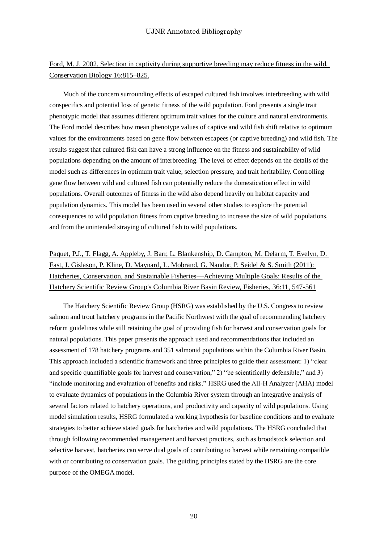Ford, M. J. 2002. Selection in captivity during supportive breeding may reduce fitness in the wild. Conservation Biology 16:815–825.

Much of the concern surrounding effects of escaped cultured fish involves interbreeding with wild conspecifics and potential loss of genetic fitness of the wild population. Ford presents a single trait phenotypic model that assumes different optimum trait values for the culture and natural environments. The Ford model describes how mean phenotype values of captive and wild fish shift relative to optimum values for the environments based on gene flow between escapees (or captive breeding) and wild fish. The results suggest that cultured fish can have a strong influence on the fitness and sustainability of wild populations depending on the amount of interbreeding. The level of effect depends on the details of the model such as differences in optimum trait value, selection pressure, and trait heritability. Controlling gene flow between wild and cultured fish can potentially reduce the domestication effect in wild populations. Overall outcomes of fitness in the wild also depend heavily on habitat capacity and population dynamics. This model has been used in several other studies to explore the potential consequences to wild population fitness from captive breeding to increase the size of wild populations, and from the unintended straying of cultured fish to wild populations.

Paquet, P.J., T. Flagg, A. Appleby, J. Barr, L. Blankenship, D. Campton, M. Delarm, T. Evelyn, D. Fast, J. Gislason, P. Kline, D. Maynard, L. Mobrand, G. Nandor, P. Seidel & S. Smith (2011): Hatcheries, Conservation, and Sustainable Fisheries—Achieving Multiple Goals: Results of the Hatchery Scientific Review Group's Columbia River Basin Review, Fisheries, 36:11, 547-561

The Hatchery Scientific Review Group (HSRG) was established by the U.S. Congress to review salmon and trout hatchery programs in the Pacific Northwest with the goal of recommending hatchery reform guidelines while still retaining the goal of providing fish for harvest and conservation goals for natural populations. This paper presents the approach used and recommendations that included an assessment of 178 hatchery programs and 351 salmonid populations within the Columbia River Basin. This approach included a scientific framework and three principles to guide their assessment: 1) "clear and specific quantifiable goals for harvest and conservation," 2) "be scientifically defensible," and 3) "include monitoring and evaluation of benefits and risks." HSRG used the All-H Analyzer (AHA) model to evaluate dynamics of populations in the Columbia River system through an integrative analysis of several factors related to hatchery operations, and productivity and capacity of wild populations. Using model simulation results, HSRG formulated a working hypothesis for baseline conditions and to evaluate strategies to better achieve stated goals for hatcheries and wild populations. The HSRG concluded that through following recommended management and harvest practices, such as broodstock selection and selective harvest, hatcheries can serve dual goals of contributing to harvest while remaining compatible with or contributing to conservation goals. The guiding principles stated by the HSRG are the core purpose of the OMEGA model.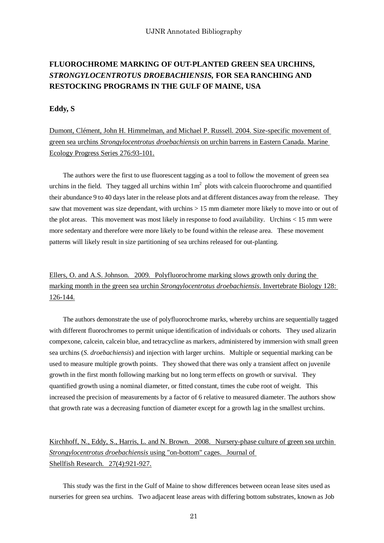# **FLUOROCHROME MARKING OF OUT-PLANTED GREEN SEA URCHINS,**  *STRONGYLOCENTROTUS DROEBACHIENSIS,* **FOR SEA RANCHING AND RESTOCKING PROGRAMS IN THE GULF OF MAINE, USA**

### **Eddy, S**

Dumont, Clément, John H. Himmelman, and Michael P. Russell. 2004. Size-specific movement of green sea urchins *Strongylocentrotus droebachiensis* on urchin barrens in Eastern Canada. Marine Ecology Progress Series 276:93-101.

The authors were the first to use fluorescent tagging as a tool to follow the movement of green sea urchins in the field. They tagged all urchins within  $1m^2$  plots with calcein fluorochrome and quantified their abundance 9 to 40 days later in the release plots and at different distances away from the release. They saw that movement was size dependant, with urchins > 15 mm diameter more likely to move into or out of the plot areas. This movement was most likely in response to food availability. Urchins < 15 mm were more sedentary and therefore were more likely to be found within the release area. These movement patterns will likely result in size partitioning of sea urchins released for out-planting.

Ellers, O. and A.S. Johnson. 2009. Polyfluorochrome marking slows growth only during the marking month in the green sea urchin *Strongylocentrotus droebachiensis*. Invertebrate Biology 128: 126-144.

The authors demonstrate the use of polyfluorochrome marks, whereby urchins are sequentially tagged with different fluorochromes to permit unique identification of individuals or cohorts. They used alizarin compexone, calcein, calcein blue, and tetracycline as markers, administered by immersion with small green sea urchins (*S. droebachiensis*) and injection with larger urchins. Multiple or sequential marking can be used to measure multiple growth points. They showed that there was only a transient affect on juvenile growth in the first month following marking but no long term effects on growth or survival. They quantified growth using a nominal diameter, or fitted constant, times the cube root of weight. This increased the precision of measurements by a factor of 6 relative to measured diameter. The authors show that growth rate was a decreasing function of diameter except for a growth lag in the smallest urchins.

Kirchhoff, N., Eddy, S., Harris, L. and N. Brown. 2008. Nursery-phase culture of green sea urchin *Strongylocentrotus droebachiensis* using "on-bottom" cages. Journal of Shellfish Research. 27(4):921-927.

This study was the first in the Gulf of Maine to show differences between ocean lease sites used as nurseries for green sea urchins. Two adjacent lease areas with differing bottom substrates, known as Job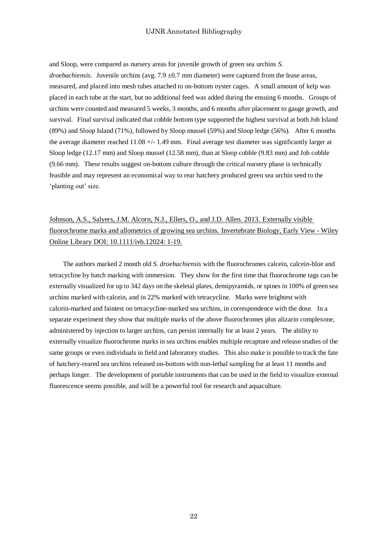and Sloop, were compared as nursery areas for juvenile growth of green sea urchins *S. droebachiensis*. Juvenile urchins (avg. 7.9 ±0.7 mm diameter) were captured from the lease areas, measured, and placed into mesh tubes attached to on-bottom oyster cages. A small amount of kelp was placed in each tube at the start, but no additional feed was added during the ensuing 6 months. Groups of urchins were counted and measured 5 weeks, 3 months, and 6 months after placement to gauge growth, and survival. Final survival indicated that cobble bottom type supported the highest survival at both Job Island (89%) and Sloop Island (71%), followed by Sloop mussel (59%) and Sloop ledge (56%). After 6 months the average diameter reached 11.08 +/- 1.49 mm. Final average test diameter was significantly larger at Sloop ledge (12.17 mm) and Sloop mussel (12.58 mm), than at Sloop cobble (9.83 mm) and Job cobble (9.66 mm). These results suggest on-bottom culture through the critical nursery phase is technically feasible and may represent an economical way to rear hatchery produced green sea urchin seed to the 'planting out' size.

# Johnson, A.S., Salyers, J.M. Alcorn, N.J., Ellers, O., and J.D. Allen. 2013. Externally visible fluorochrome marks and allometrics of growing sea urchins. Invertebrate Biology, Early View - Wiley Online Library DOI: 10.1111/ivb.12024: 1-19.

The authors marked 2 month old *S. droebachiensis* with the fluorochromes calcein, calcein-blue and tetracycline by batch marking with immersion. They show for the first time that fluorochrome tags can be externally visualized for up to 342 days on the skeletal plates, demipyramids, or spines in 100% of green sea urchins marked with calcein, and in 22% marked with tetracycline. Marks were brightest with calcein-marked and faintest on tetracycline-marked sea urchins, in correspondence with the dose. In a separate experiment they show that multiple marks of the above fluorochromes plus alizarin complexone, administered by injection to larger urchins, can persist internally for at least 2 years. The ability to externally visualize fluorochrome marks in sea urchins enables multiple recapture and release studies of the same groups or even individuals in field and laboratory studies. This also make is possible to track the fate of hatchery-reared sea urchins released on-bottom with non-lethal sampling for at least 11 months and perhaps longer. The development of portable instruments that can be used in the field to visualize external fluorescence seems possible, and will be a powerful tool for research and aquaculture.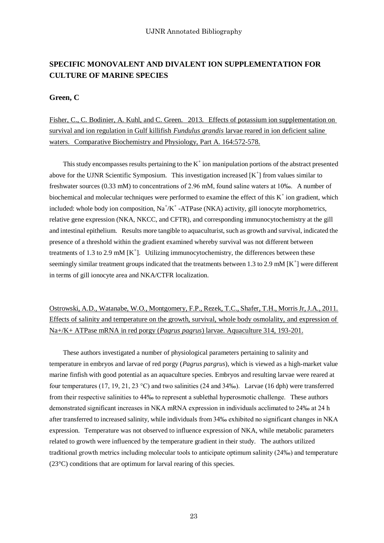# **SPECIFIC MONOVALENT AND DIVALENT ION SUPPLEMENTATION FOR CULTURE OF MARINE SPECIES**

### **Green, C**

# Fisher, C., C. Bodinier, A. Kuhl, and C. Green. 2013. Effects of potassium ion supplementation on survival and ion regulation in Gulf killifish *Fundulus grandis* larvae reared in ion deficient saline waters. Comparative Biochemistry and Physiology, Part A. 164:572-578.

This study encompasses results pertaining to the  $K^+$  ion manipulation portions of the abstract presented above for the UJNR Scientific Symposium. This investigation increased  $[K^+]$  from values similar to freshwater sources (0.33 mM) to concentrations of 2.96 mM, found saline waters at 10‰. A number of biochemical and molecular techniques were performed to examine the effect of this  $K^+$  ion gradient, which included: whole body ion composition,  $\text{Na}^+/\text{K}^+$ -ATPase (NKA) activity, gill ionocyte morphometrics, relative gene expression (NKA, NKCC, and CFTR), and corresponding immunocytochemistry at the gill and intestinal epithelium. Results more tangible to aquaculturist, such as growth and survival, indicated the presence of a threshold within the gradient examined whereby survival was not different between treatments of 1.3 to 2.9 mM  $[K^+]$ . Utilizing immunocytochemistry, the differences between these seemingly similar treatment groups indicated that the treatments between 1.3 to 2.9 mM  $[K^+]$  were different in terms of gill ionocyte area and NKA/CTFR localization.

# Ostrowski, A.D., Watanabe, W.O., Montgomery, F.P., Rezek, T.C., Shafer, T.H., Morris Jr, J.A., 2011. Effects of salinity and temperature on the growth, survival, whole body osmolality, and expression of Na+/K+ ATPase mRNA in red porgy (*Pagrus pagrus*) larvae. Aquaculture 314, 193-201.

These authors investigated a number of physiological parameters pertaining to salinity and temperature in embryos and larvae of red porgy (*Pagrus pargrus*), which is viewed as a high-market value marine finfish with good potential as an aquaculture species. Embryos and resulting larvae were reared at four temperatures (17, 19, 21, 23 °C) and two salinities (24 and 34‰). Larvae (16 dph) were transferred from their respective salinities to 44‰ to represent a sublethal hyperosmotic challenge. These authors demonstrated significant increases in NKA mRNA expression in individuals acclimated to 24‰ at 24 h after transferred to increased salinity, while individuals from 34‰ exhibited no significant changes in NKA expression. Temperature was not observed to influence expression of NKA, while metabolic parameters related to growth were influenced by the temperature gradient in their study. The authors utilized traditional growth metrics including molecular tools to anticipate optimum salinity (24‰) and temperature (23°C) conditions that are optimum for larval rearing of this species.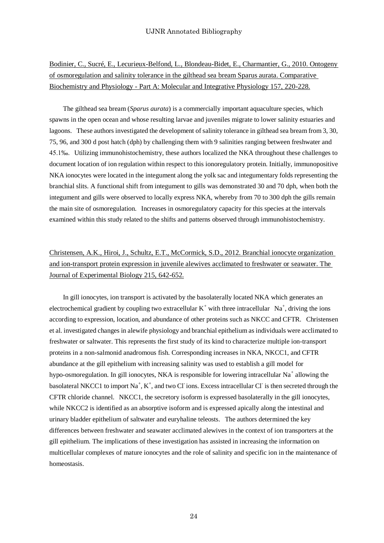Bodinier, C., Sucré, E., Lecurieux-Belfond, L., Blondeau-Bidet, E., Charmantier, G., 2010. Ontogeny of osmoregulation and salinity tolerance in the gilthead sea bream Sparus aurata. Comparative Biochemistry and Physiology - Part A: Molecular and Integrative Physiology 157, 220-228.

The gilthead sea bream (*Sparus aurata*) is a commercially important aquaculture species, which spawns in the open ocean and whose resulting larvae and juveniles migrate to lower salinity estuaries and lagoons. These authors investigated the development of salinity tolerance in gilthead sea bream from 3, 30, 75, 96, and 300 d post hatch (dph) by challenging them with 9 salinities ranging between freshwater and 45.1‰. Utilizing immunohistochemistry, these authors localized the NKA throughout these challenges to document location of ion regulation within respect to this ionoregulatory protein. Initially, immunopositive NKA ionocytes were located in the integument along the yolk sac and integumentary folds representing the branchial slits. A functional shift from integument to gills was demonstrated 30 and 70 dph, when both the integument and gills were observed to locally express NKA, whereby from 70 to 300 dph the gills remain the main site of osmoregulation. Increases in osmoregulatory capacity for this species at the intervals examined within this study related to the shifts and patterns observed through immunohistochemistry.

# Christensen, A.K., Hiroi, J., Schultz, E.T., McCormick, S.D., 2012. Branchial ionocyte organization and ion-transport protein expression in juvenile alewives acclimated to freshwater or seawater. The Journal of Experimental Biology 215, 642-652.

In gill ionocytes, ion transport is activated by the basolaterally located NKA which generates an electrochemical gradient by coupling two extracellular  $K^+$  with three intracellular  $Na^+$ , driving the ions according to expression, location, and abundance of other proteins such as NKCC and CFTR. Christensen et al. investigated changes in alewife physiology and branchial epithelium as individuals were acclimated to freshwater or saltwater. This represents the first study of its kind to characterize multiple ion-transport proteins in a non-salmonid anadromous fish. Corresponding increases in NKA, NKCC1, and CFTR abundance at the gill epithelium with increasing salinity was used to establish a gill model for hypo-osmoregulation. In gill ionocytes, NKA is responsible for lowering intracellular Na<sup>+</sup> allowing the basolateral NKCC1 to import Na<sup>+</sup>, K<sup>+</sup>, and two Cl ions. Excess intracellular Cl is then secreted through the CFTR chloride channel. NKCC1, the secretory isoform is expressed basolaterally in the gill ionocytes, while NKCC2 is identified as an absorptive isoform and is expressed apically along the intestinal and urinary bladder epithelium of saltwater and euryhaline teleosts. The authors determined the key differences between freshwater and seawater acclimated alewives in the context of ion transporters at the gill epithelium. The implications of these investigation has assisted in increasing the information on multicellular complexes of mature ionocytes and the role of salinity and specific ion in the maintenance of homeostasis.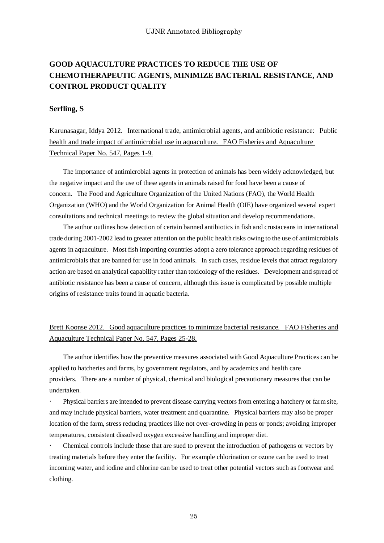# **GOOD AQUACULTURE PRACTICES TO REDUCE THE USE OF CHEMOTHERAPEUTIC AGENTS, MINIMIZE BACTERIAL RESISTANCE, AND CONTROL PRODUCT QUALITY**

#### **Serfling, S**

Karunasagar, Iddya 2012. International trade, antimicrobial agents, and antibiotic resistance: Public health and trade impact of antimicrobial use in aquaculture. FAO Fisheries and Aquaculture Technical Paper No. 547, Pages 1-9.

The importance of antimicrobial agents in protection of animals has been widely acknowledged, but the negative impact and the use of these agents in animals raised for food have been a cause of concern. The Food and Agriculture Organization of the United Nations (FAO), the World Health Organization (WHO) and the World Organization for Animal Health (OIE) have organized several expert consultations and technical meetings to review the global situation and develop recommendations.

The author outlines how detection of certain banned antibiotics in fish and crustaceans in international trade during 2001-2002 lead to greater attention on the public health risks owing to the use of antimicrobials agents in aquaculture. Most fish importing countries adopt a zero tolerance approach regarding residues of antimicrobials that are banned for use in food animals. In such cases, residue levels that attract regulatory action are based on analytical capability rather than toxicology of the residues. Development and spread of antibiotic resistance has been a cause of concern, although this issue is complicated by possible multiple origins of resistance traits found in aquatic bacteria.

### Brett Koonse 2012. Good aquaculture practices to minimize bacterial resistance. FAO Fisheries and Aquaculture Technical Paper No. 547, Pages 25-28.

The author identifies how the preventive measures associated with Good Aquaculture Practices can be applied to hatcheries and farms, by government regulators, and by academics and health care providers. There are a number of physical, chemical and biological precautionary measures that can be undertaken.

 Physical barriers are intended to prevent disease carrying vectors from entering a hatchery or farm site, and may include physical barriers, water treatment and quarantine. Physical barriers may also be proper location of the farm, stress reducing practices like not over-crowding in pens or ponds; avoiding improper temperatures, consistent dissolved oxygen excessive handling and improper diet.

 Chemical controls include those that are sued to prevent the introduction of pathogens or vectors by treating materials before they enter the facility. For example chlorination or ozone can be used to treat incoming water, and iodine and chlorine can be used to treat other potential vectors such as footwear and clothing.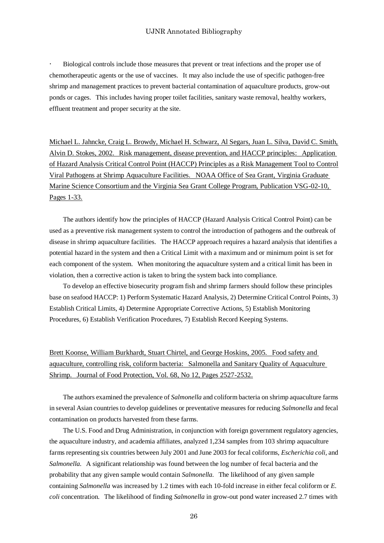#### UJNR Annotated Bibliography

 Biological controls include those measures that prevent or treat infections and the proper use of chemotherapeutic agents or the use of vaccines. It may also include the use of specific pathogen-free shrimp and management practices to prevent bacterial contamination of aquaculture products, grow-out ponds or cages. This includes having proper toilet facilities, sanitary waste removal, healthy workers, effluent treatment and proper security at the site.

Michael L. Jahncke, Craig L. Browdy, Michael H. Schwarz, Al Segars, Juan L. Silva, David C. Smith, Alvin D. Stokes, 2002. Risk management, disease prevention, and HACCP principles: Application of Hazard Analysis Critical Control Point (HACCP) Principles as a Risk Management Tool to Control Viral Pathogens at Shrimp Aquaculture Facilities. NOAA Office of Sea Grant, Virginia Graduate Marine Science Consortium and the Virginia Sea Grant College Program, Publication VSG-02-10, Pages 1-33.

The authors identify how the principles of HACCP (Hazard Analysis Critical Control Point) can be used as a preventive risk management system to control the introduction of pathogens and the outbreak of disease in shrimp aquaculture facilities. The HACCP approach requires a hazard analysis that identifies a potential hazard in the system and then a Critical Limit with a maximum and or minimum point is set for each component of the system. When monitoring the aquaculture system and a critical limit has been in violation, then a corrective action is taken to bring the system back into compliance.

To develop an effective biosecurity program fish and shrimp farmers should follow these principles base on seafood HACCP: 1) Perform Systematic Hazard Analysis, 2) Determine Critical Control Points, 3) Establish Critical Limits, 4) Determine Appropriate Corrective Actions, 5) Establish Monitoring Procedures, 6) Establish Verification Procedures, 7) Establish Record Keeping Systems.

Brett Koonse, William Burkhardt, Stuart Chirtel, and George Hoskins, 2005. Food safety and aquaculture, controlling risk, coliform bacteria: Salmonella and Sanitary Quality of Aquaculture Shrimp. Journal of Food Protection, Vol. 68, No 12, Pages 2527-2532.

The authors examined the prevalence of *Salmonella* and coliform bacteria on shrimp aquaculture farms in several Asian countries to develop guidelines or preventative measures for reducing *Salmonella* and fecal contamination on products harvested from these farms.

The U.S. Food and Drug Administration, in conjunction with foreign government regulatory agencies, the aquaculture industry, and academia affiliates, analyzed 1,234 samples from 103 shrimp aquaculture farms representing six countries between July 2001 and June 2003 for fecal coliforms, *Escherichia coli,* and *Salmonella.* A significant relationship was found between the log number of fecal bacteria and the probability that any given sample would contain *Salmonella.* The likelihood of any given sample containing *Salmonella* was increased by 1.2 times with each 10-fold increase in either fecal coliform or *E. coli* concentration. The likelihood of finding *Salmonella* in grow-out pond water increased 2.7 times with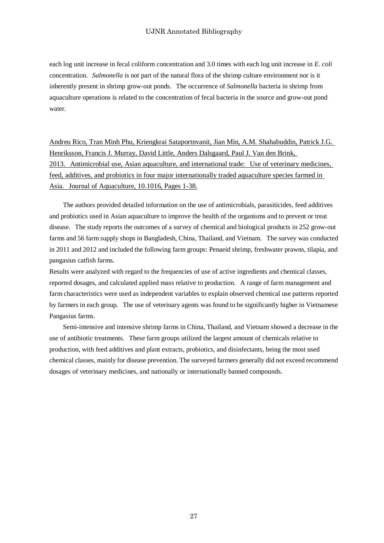each log unit increase in fecal coliform concentration and 3.0 times with each log unit increase in *E. coli*  concentration. *Salmonella* is not part of the natural flora of the shrimp culture environment nor is it inherently present in shrimp grow-out ponds. The occurrence of *Salmonella* bacteria in shrimp from aquaculture operations is related to the concentration of fecal bacteria in the source and grow-out pond water.

Andreu Rico, Tran Minh Phu, Kriengkrai Sataportnvanit, Jian Min, A.M. Shahabuddin, Patrick J.G. Henriksson, Francis J. Murray, David Little, Anders Dalsgaard, Paul J. Van den Brink, 2013. Antimicrobial use, Asian aquaculture, and international trade: Use of veterinary medicines, feed, additives, and probiotics in four major internationally traded aquaculture species farmed in Asia. Journal of Aquaculture, 10.1016, Pages 1-38.

The authors provided detailed information on the use of antimicrobials, parasiticides, feed additives and probiotics used in Asian aquaculture to improve the health of the organisms and to prevent or treat disease. The study reports the outcomes of a survey of chemical and biological products in 252 grow-out farms and 56 farm supply shops in Bangladesh, China, Thailand, and Vietnam. The survey was conducted in 2011 and 2012 and included the following farm groups: Penaeid shrimp, freshwater prawns, tilapia, and pangasius catfish farms.

Results were analyzed with regard to the frequencies of use of active ingredients and chemical classes, reported dosages, and calculated applied mass relative to production. A range of farm management and farm characteristics were used as independent variables to explain observed chemical use patterns reported by farmers in each group. The use of veterinary agents was found to be significantly higher in Vietnamese Pangasius farms.

Semi-intensive and intensive shrimp farms in China, Thailand, and Vietnam showed a decrease in the use of antibiotic treatments. These farm groups utilized the largest amount of chemicals relative to production, with feed additives and plant extracts, probiotics, and disinfectants, being the most used chemical classes, mainly for disease prevention. The surveyed farmers generally did not exceed recommend dosages of veterinary medicines, and nationally or internationally banned compounds.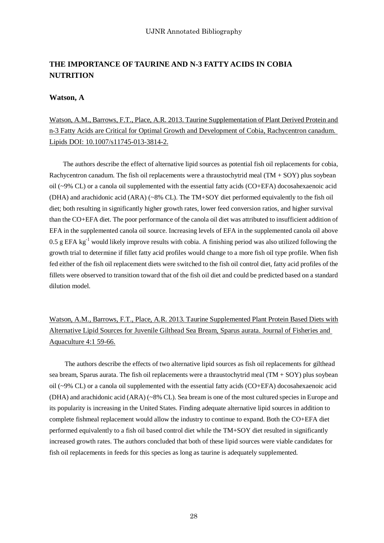# **THE IMPORTANCE OF TAURINE AND N-3 FATTY ACIDS IN COBIA NUTRITION**

#### **Watson, A**

# Watson, A.M., Barrows, F.T., Place, A.R. 2013. Taurine Supplementation of Plant Derived Protein and n-3 Fatty Acids are Critical for Optimal Growth and Development of Cobia, Rachycentron canadum. Lipids DOI: 10.1007/s11745-013-3814-2.

The authors describe the effect of alternative lipid sources as potential fish oil replacements for cobia, Rachycentron canadum. The fish oil replacements were a thraustochytrid meal ( $TM + SOY$ ) plus soybean oil (~9% CL) or a canola oil supplemented with the essential fatty acids (CO+EFA) docosahexaenoic acid (DHA) and arachidonic acid (ARA) (~8% CL). The TM+SOY diet performed equivalently to the fish oil diet; both resulting in significantly higher growth rates, lower feed conversion ratios, and higher survival than the CO+EFA diet. The poor performance of the canola oil diet was attributed to insufficient addition of EFA in the supplemented canola oil source. Increasing levels of EFA in the supplemented canola oil above  $0.5$  g EFA kg<sup>-1</sup> would likely improve results with cobia. A finishing period was also utilized following the growth trial to determine if fillet fatty acid profiles would change to a more fish oil type profile. When fish fed either of the fish oil replacement diets were switched to the fish oil control diet, fatty acid profiles of the fillets were observed to transition toward that of the fish oil diet and could be predicted based on a standard dilution model.

# Watson, A.M., Barrows, F.T., Place, A.R. 2013. Taurine Supplemented Plant Protein Based Diets with Alternative Lipid Sources for Juvenile Gilthead Sea Bream, Sparus aurata. Journal of Fisheries and Aquaculture 4:1 59-66.

The authors describe the effects of two alternative lipid sources as fish oil replacements for gilthead sea bream, Sparus aurata. The fish oil replacements were a thraustochytrid meal (TM + SOY) plus soybean oil (~9% CL) or a canola oil supplemented with the essential fatty acids (CO+EFA) docosahexaenoic acid (DHA) and arachidonic acid (ARA) (~8% CL). Sea bream is one of the most cultured species in Europe and its popularity is increasing in the United States. Finding adequate alternative lipid sources in addition to complete fishmeal replacement would allow the industry to continue to expand. Both the CO+EFA diet performed equivalently to a fish oil based control diet while the TM+SOY diet resulted in significantly increased growth rates. The authors concluded that both of these lipid sources were viable candidates for fish oil replacements in feeds for this species as long as taurine is adequately supplemented.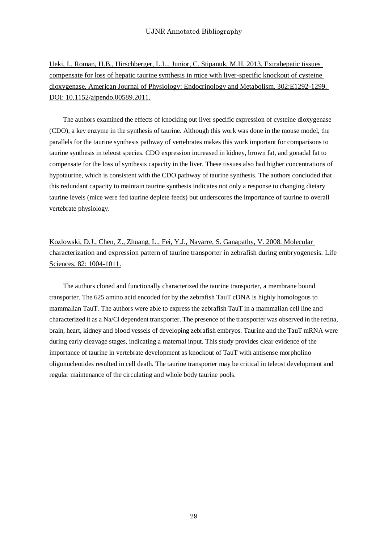Ueki, I., Roman, H.B., Hirschberger, L.L., Junior, C. Stipanuk, M.H. 2013. Extrahepatic tissues compensate for loss of hepatic taurine synthesis in mice with liver-specific knockout of cysteine dioxygenase. American Journal of Physiology: Endocrinology and Metabolism. 302:E1292-1299. DOI: 10.1152/ajpendo.00589.2011.

The authors examined the effects of knocking out liver specific expression of cysteine dioxygenase (CDO), a key enzyme in the synthesis of taurine. Although this work was done in the mouse model, the parallels for the taurine synthesis pathway of vertebrates makes this work important for comparisons to taurine synthesis in teleost species. CDO expression increased in kidney, brown fat, and gonadal fat to compensate for the loss of synthesis capacity in the liver. These tissues also had higher concentrations of hypotaurine, which is consistent with the CDO pathway of taurine synthesis. The authors concluded that this redundant capacity to maintain taurine synthesis indicates not only a response to changing dietary taurine levels (mice were fed taurine deplete feeds) but underscores the importance of taurine to overall vertebrate physiology.

Kozlowski, D.J., Chen, Z., Zhuang, L., Fei, Y.J., Navarre, S. Ganapathy, V. 2008. Molecular characterization and expression pattern of taurine transporter in zebrafish during embryogenesis. Life Sciences. 82: 1004-1011.

The authors cloned and functionally characterized the taurine transporter, a membrane bound transporter. The 625 amino acid encoded for by the zebrafish TauT cDNA is highly homologous to mammalian TauT. The authors were able to express the zebrafish TauT in a mammalian cell line and characterized it as a Na/Cl dependent transporter. The presence of the transporter was observed in the retina, brain, heart, kidney and blood vessels of developing zebrafish embryos. Taurine and the TauT mRNA were during early cleavage stages, indicating a maternal input. This study provides clear evidence of the importance of taurine in vertebrate development as knockout of TauT with antisense morpholino oligonucleotides resulted in cell death. The taurine transporter may be critical in teleost development and regular maintenance of the circulating and whole body taurine pools.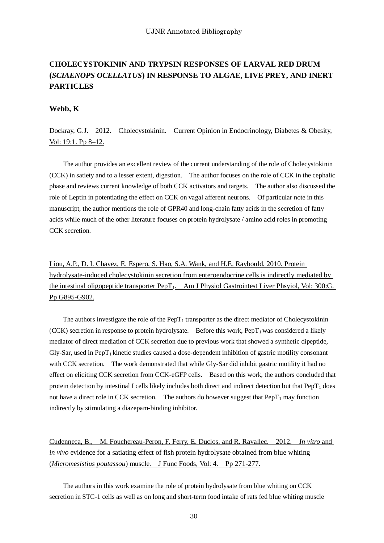# **CHOLECYSTOKININ AND TRYPSIN RESPONSES OF LARVAL RED DRUM (***SCIAENOPS OCELLATUS***) IN RESPONSE TO ALGAE, LIVE PREY, AND INERT PARTICLES**

### **Webb, K**

# Dockray, G.J. 2012. Cholecystokinin. Current Opinion in Endocrinology, Diabetes & Obesity, Vol: 19:1. Pp 8–12.

The author provides an excellent review of the current understanding of the role of Cholecystokinin (CCK) in satiety and to a lesser extent, digestion. The author focuses on the role of CCK in the cephalic phase and reviews current knowledge of both CCK activators and targets. The author also discussed the role of Leptin in potentiating the effect on CCK on vagal afferent neurons. Of particular note in this manuscript, the author mentions the role of GPR40 and long-chain fatty acids in the secretion of fatty acids while much of the other literature focuses on protein hydrolysate / amino acid roles in promoting CCK secretion.

Liou, A.P., D. I. Chavez, E. Espero, S. Hao, S.A. Wank, and H.E. Raybould. 2010. Protein hydrolysate-induced cholecystokinin secretion from enteroendocrine cells is indirectly mediated by the intestinal oligopeptide transporter PepT<sub>1</sub>. Am J Physiol Gastrointest Liver Phsyiol, Vol: 300:G. Pp G895-G902.

The authors investigate the role of the  $PepT_1$  transporter as the direct mediator of Cholecystokinin (CCK) secretion in response to protein hydrolysate. Before this work,  $PepT_1$  was considered a likely mediator of direct mediation of CCK secretion due to previous work that showed a synthetic dipeptide, Gly-Sar, used in  $\text{PepT}_1$  kinetic studies caused a dose-dependent inhibition of gastric motility consonant with CCK secretion. The work demonstrated that while Gly-Sar did inhibit gastric motility it had no effect on eliciting CCK secretion from CCK-eGFP cells. Based on this work, the authors concluded that protein detection by intestinal I cells likely includes both direct and indirect detection but that  $PepT_1$  does not have a direct role in CCK secretion. The authors do however suggest that  $PepT_1$  may function indirectly by stimulating a diazepam-binding inhibitor.

Cudenneca, B., M. Fouchereau-Peron, F. Ferry, E. Duclos, and R. Ravallec. 2012. *In vitro* and *in vivo* evidence for a satiating effect of fish protein hydrolysate obtained from blue whiting (*Micromesistius poutassou*) muscle. J Func Foods, Vol: 4. Pp 271-277.

The authors in this work examine the role of protein hydrolysate from blue whiting on CCK secretion in STC-1 cells as well as on long and short-term food intake of rats fed blue whiting muscle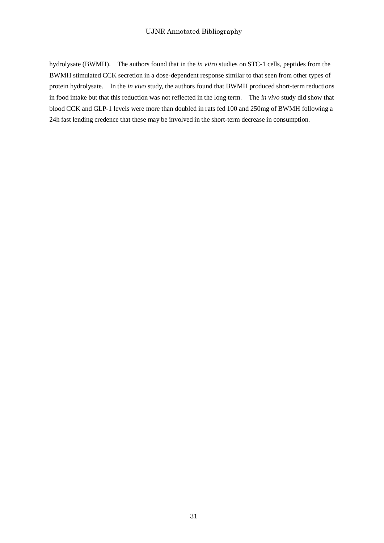#### UJNR Annotated Bibliography

hydrolysate (BWMH). The authors found that in the *in vitro* studies on STC-1 cells, peptides from the BWMH stimulated CCK secretion in a dose-dependent response similar to that seen from other types of protein hydrolysate. In the *in vivo* study, the authors found that BWMH produced short-term reductions in food intake but that this reduction was not reflected in the long term. The *in vivo* study did show that blood CCK and GLP-1 levels were more than doubled in rats fed 100 and 250mg of BWMH following a 24h fast lending credence that these may be involved in the short-term decrease in consumption.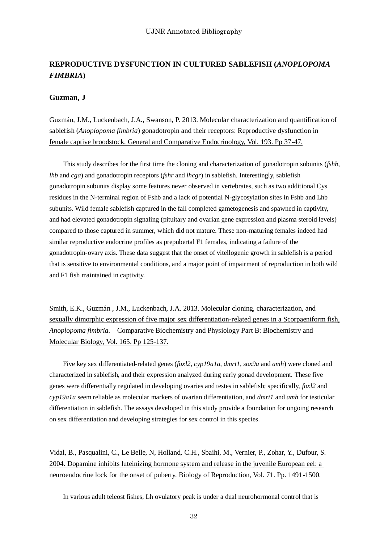# **REPRODUCTIVE DYSFUNCTION IN CULTURED SABLEFISH (***ANOPLOPOMA FIMBRIA***)**

#### **Guzman, J**

Guzmán, J.M., Luckenbach, J.A., Swanson, P. 2013. Molecular characterization and quantification of sablefish (*Anoplopoma fimbria*) gonadotropin and their receptors: Reproductive dysfunction in female captive broodstock. General and Comparative Endocrinology, Vol. 193. Pp 37-47.

This study describes for the first time the cloning and characterization of gonadotropin subunits (*fshb*, *lhb* and *cga*) and gonadotropin receptors (*fshr* and *lhcgr*) in sablefish. Interestingly, sablefish gonadotropin subunits display some features never observed in vertebrates, such as two additional Cys residues in the N-terminal region of Fshb and a lack of potential N-glycosylation sites in Fshb and Lhb subunits. Wild female sablefish captured in the fall completed gametogenesis and spawned in captivity, and had elevated gonadotropin signaling (pituitary and ovarian gene expression and plasma steroid levels) compared to those captured in summer, which did not mature. These non-maturing females indeed had similar reproductive endocrine profiles as prepubertal F1 females, indicating a failure of the gonadotropin-ovary axis. These data suggest that the onset of vitellogenic growth in sablefish is a period that is sensitive to environmental conditions, and a major point of impairment of reproduction in both wild and F1 fish maintained in captivity.

Smith, E.K., Guzmán , J.M., Luckenbach, J.A. 2013. Molecular cloning, characterization, and sexually dimorphic expression of five major sex differentiation-related genes in a Scorpaeniform fish, *Anoplopoma fimbria*. Comparative Biochemistry and Physiology Part B: Biochemistry and Molecular Biology, Vol. 165. Pp 125-137.

Five key sex differentiated-related genes (*foxl2*, *cyp19a1a*, *dmrt1*, *sox9a* and *amh*) were cloned and characterized in sablefish, and their expression analyzed during early gonad development. These five genes were differentially regulated in developing ovaries and testes in sablefish; specifically, *foxl2* and *cyp19a1a* seem reliable as molecular markers of ovarian differentiation, and *dmrt1* and *amh* for testicular differentiation in sablefish. The assays developed in this study provide a foundation for ongoing research on sex differentiation and developing strategies for sex control in this species.

Vidal, B., Pasqualini, C., Le Belle, N, Holland, C.H., Sbaihi, M., Vernier, P., Zohar, Y., Dufour, S. 2004. Dopamine inhibits luteinizing hormone system and release in the juvenile European eel: a neuroendocrine lock for the onset of puberty. Biology of Reproduction, Vol. 71. Pp. 1491-1500.

In various adult teleost fishes, Lh ovulatory peak is under a dual neurohormonal control that is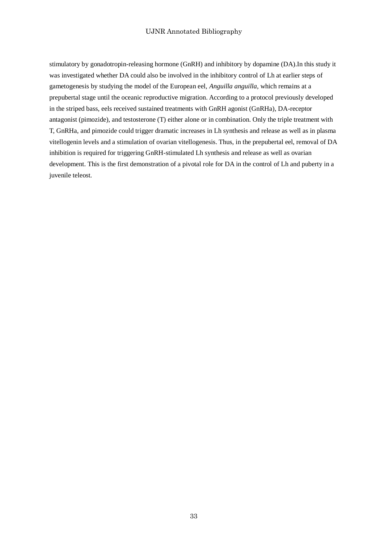stimulatory by gonadotropin-releasing hormone (GnRH) and inhibitory by dopamine (DA).In this study it was investigated whether DA could also be involved in the inhibitory control of Lh at earlier steps of gametogenesis by studying the model of the European eel, *Anguilla anguilla*, which remains at a prepubertal stage until the oceanic reproductive migration. According to a protocol previously developed in the striped bass, eels received sustained treatments with GnRH agonist (GnRHa), DA-receptor antagonist (pimozide), and testosterone (T) either alone or in combination. Only the triple treatment with T, GnRHa, and pimozide could trigger dramatic increases in Lh synthesis and release as well as in plasma vitellogenin levels and a stimulation of ovarian vitellogenesis. Thus, in the prepubertal eel, removal of DA inhibition is required for triggering GnRH-stimulated Lh synthesis and release as well as ovarian development. This is the first demonstration of a pivotal role for DA in the control of Lh and puberty in a juvenile teleost.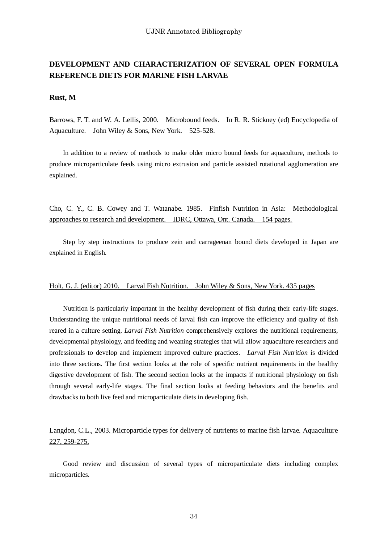# **DEVELOPMENT AND CHARACTERIZATION OF SEVERAL OPEN FORMULA REFERENCE DIETS FOR MARINE FISH LARVAE**

### **Rust, M**

## Barrows, F. T. and W. A. Lellis, 2000. Microbound feeds. In R. R. Stickney (ed) Encyclopedia of Aquaculture. John Wiley & Sons, New York. 525-528.

In addition to a review of methods to make older micro bound feeds for aquaculture, methods to produce microparticulate feeds using micro extrusion and particle assisted rotational agglomeration are explained.

## Cho, C. Y., C. B. Cowey and T. Watanabe. 1985. Finfish Nutrition in Asia: Methodological approaches to research and development. IDRC, Ottawa, Ont. Canada. 154 pages.

Step by step instructions to produce zein and carrageenan bound diets developed in Japan are explained in English.

### Holt, G. J. (editor) 2010. Larval Fish Nutrition. John Wiley & Sons, New York. 435 pages

Nutrition is particularly important in the healthy development of fish during their early-life stages. Understanding the unique nutritional needs of larval fish can improve the efficiency and quality of fish reared in a culture setting. *Larval Fish Nutrition* comprehensively explores the nutritional requirements, developmental physiology, and feeding and weaning strategies that will allow aquaculture researchers and professionals to develop and implement improved culture practices. *Larval Fish Nutrition* is divided into three sections. The first section looks at the role of specific nutrient requirements in the healthy digestive development of fish. The second section looks at the impacts if nutritional physiology on fish through several early-life stages. The final section looks at feeding behaviors and the benefits and drawbacks to both live feed and microparticulate diets in developing fish.

### Langdon, C.L., 2003. Microparticle types for delivery of nutrients to marine fish larvae. Aquaculture 227, 259-275.

Good review and discussion of several types of microparticulate diets including complex microparticles.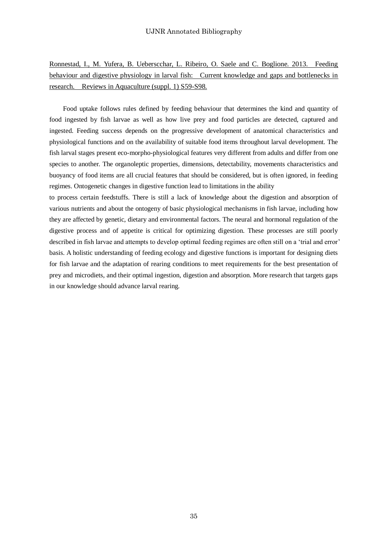Ronnestad, I., M. Yufera, B. Ueberscchar, L. Ribeiro, O. Saele and C. Boglione. 2013. Feeding behaviour and digestive physiology in larval fish: Current knowledge and gaps and bottlenecks in research. Reviews in Aquaculture (suppl. 1) S59-S98.

Food uptake follows rules defined by feeding behaviour that determines the kind and quantity of food ingested by fish larvae as well as how live prey and food particles are detected, captured and ingested. Feeding success depends on the progressive development of anatomical characteristics and physiological functions and on the availability of suitable food items throughout larval development. The fish larval stages present eco-morpho-physiological features very different from adults and differ from one species to another. The organoleptic properties, dimensions, detectability, movements characteristics and buoyancy of food items are all crucial features that should be considered, but is often ignored, in feeding regimes. Ontogenetic changes in digestive function lead to limitations in the ability

to process certain feedstuffs. There is still a lack of knowledge about the digestion and absorption of various nutrients and about the ontogeny of basic physiological mechanisms in fish larvae, including how they are affected by genetic, dietary and environmental factors. The neural and hormonal regulation of the digestive process and of appetite is critical for optimizing digestion. These processes are still poorly described in fish larvae and attempts to develop optimal feeding regimes are often still on a 'trial and error' basis. A holistic understanding of feeding ecology and digestive functions is important for designing diets for fish larvae and the adaptation of rearing conditions to meet requirements for the best presentation of prey and microdiets, and their optimal ingestion, digestion and absorption. More research that targets gaps in our knowledge should advance larval rearing.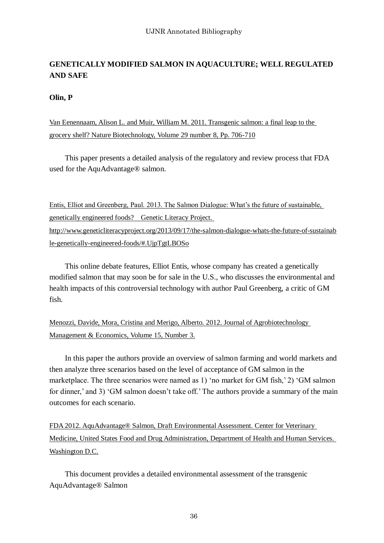# **GENETICALLY MODIFIED SALMON IN AQUACULTURE; WELL REGULATED AND SAFE**

### **Olin, P**

Van Eenennaam, Alison L. and Muir, William M. 2011. Transgenic salmon: a final leap to the grocery shelf? Nature Biotechnology, Volume 29 number 8, Pp. 706-710

This paper presents a detailed analysis of the regulatory and review process that FDA used for the AquAdvantage® salmon.

Entis, Elliot and Greenberg, Paul. 2013. The Salmon Dialogue: What's the future of sustainable, genetically engineered foods? Genetic Literacy Project. [http://www.geneticliteracyproject.org/2013/09/17/the-salmon-dialogue-whats-the-future-of-sustainab](http://www.geneticliteracyproject.org/2013/09/17/the-salmon-dialogue-whats-the-future-of-sustainable-genetically-engineered-foods/#.UjpTgtLBOSo) [le-genetically-engineered-foods/#.UjpTgtLBOSo](http://www.geneticliteracyproject.org/2013/09/17/the-salmon-dialogue-whats-the-future-of-sustainable-genetically-engineered-foods/#.UjpTgtLBOSo)

This online debate features, Elliot Entis, whose company has created a genetically modified salmon that may soon be for sale in the U.S., who discusses the environmental and health impacts of this controversial technology with author Paul Greenberg, a critic of GM fish.

Menozzi, Davide, Mora, Cristina and Merigo, Alberto. 2012. Journal of Agrobiotechnology Management & Economics, Volume 15, Number 3.

In this paper the authors provide an overview of salmon farming and world markets and then analyze three scenarios based on the level of acceptance of GM salmon in the marketplace. The three scenarios were named as 1) 'no market for GM fish,' 2) 'GM salmon for dinner,' and 3) 'GM salmon doesn't take off.' The authors provide a summary of the main outcomes for each scenario.

FDA 2012. AquAdvantage® Salmon, Draft Environmental Assessment. Center for Veterinary Medicine, United States Food and Drug Administration, Department of Health and Human Services. Washington D.C.

This document provides a detailed environmental assessment of the transgenic AquAdvantage® Salmon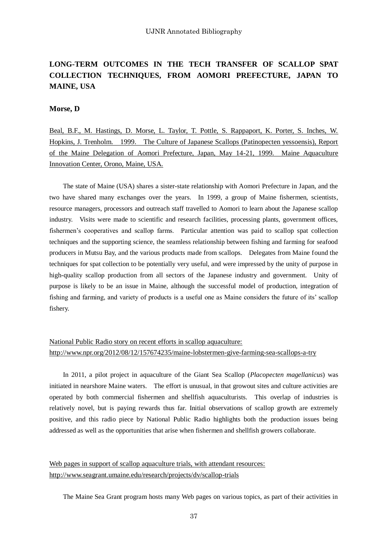# **LONG-TERM OUTCOMES IN THE TECH TRANSFER OF SCALLOP SPAT COLLECTION TECHNIQUES, FROM AOMORI PREFECTURE, JAPAN TO MAINE, USA**

#### **Morse, D**

Beal, B.F., M. Hastings, D. Morse, L. Taylor, T. Pottle, S. Rappaport, K. Porter, S. Inches, W. Hopkins, J. Trenholm. 1999. The Culture of Japanese Scallops (Patinopecten yessoensis), Report of the Maine Delegation of Aomori Prefecture, Japan, May 14-21, 1999. Maine Aquaculture Innovation Center, Orono, Maine, USA.

The state of Maine (USA) shares a sister-state relationship with Aomori Prefecture in Japan, and the two have shared many exchanges over the years. In 1999, a group of Maine fishermen, scientists, resource managers, processors and outreach staff travelled to Aomori to learn about the Japanese scallop industry. Visits were made to scientific and research facilities, processing plants, government offices, fishermen's cooperatives and scallop farms. Particular attention was paid to scallop spat collection techniques and the supporting science, the seamless relationship between fishing and farming for seafood producers in Mutsu Bay, and the various products made from scallops. Delegates from Maine found the techniques for spat collection to be potentially very useful, and were impressed by the unity of purpose in high-quality scallop production from all sectors of the Japanese industry and government. Unity of purpose is likely to be an issue in Maine, although the successful model of production, integration of fishing and farming, and variety of products is a useful one as Maine considers the future of its' scallop fishery.

National Public Radio story on recent efforts in scallop aquaculture: <http://www.npr.org/2012/08/12/157674235/maine-lobstermen-give-farming-sea-scallops-a-try>

In 2011, a pilot project in aquaculture of the Giant Sea Scallop (*Placopecten magellanicus*) was initiated in nearshore Maine waters. The effort is unusual, in that growout sites and culture activities are operated by both commercial fishermen and shellfish aquaculturists. This overlap of industries is relatively novel, but is paying rewards thus far. Initial observations of scallop growth are extremely positive, and this radio piece by National Public Radio highlights both the production issues being addressed as well as the opportunities that arise when fishermen and shellfish growers collaborate.

Web pages in support of scallop aquaculture trials, with attendant resources: <http://www.seagrant.umaine.edu/research/projects/dv/scallop-trials>

The Maine Sea Grant program hosts many Web pages on various topics, as part of their activities in